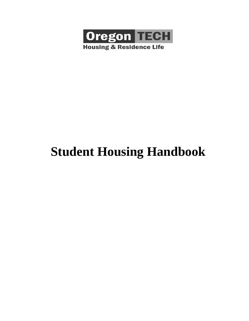

# **Student Housing Handbook**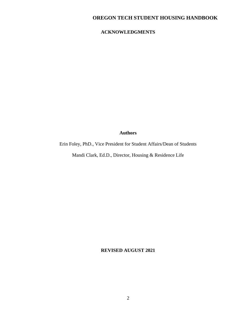# **ACKNOWLEDGMENTS**

### **Authors**

Erin Foley, PhD., Vice President for Student Affairs/Dean of Students

Mandi Clark, Ed.D., Director, Housing & Residence Life

**REVISED AUGUST 2021**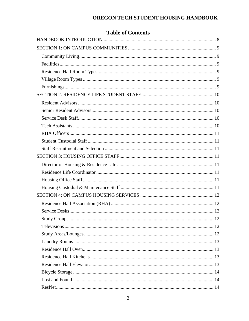|  | <b>Table of Contents</b> |
|--|--------------------------|
|  |                          |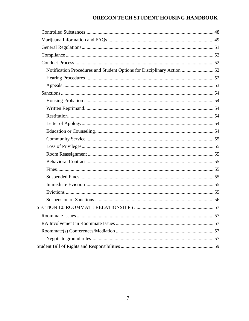| Notification Procedures and Student Options for Disciplinary Action  52 |
|-------------------------------------------------------------------------|
|                                                                         |
|                                                                         |
|                                                                         |
|                                                                         |
|                                                                         |
|                                                                         |
|                                                                         |
|                                                                         |
|                                                                         |
|                                                                         |
|                                                                         |
|                                                                         |
|                                                                         |
|                                                                         |
|                                                                         |
|                                                                         |
|                                                                         |
|                                                                         |
|                                                                         |
|                                                                         |
|                                                                         |
|                                                                         |
|                                                                         |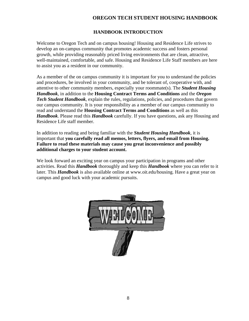# **HANDBOOK INTRODUCTION**

<span id="page-7-0"></span>Welcome to Oregon Tech and on campus housing! Housing and Residence Life strives to develop an on-campus community that promotes academic success and fosters personal growth, while providing reasonably priced living environments that are clean, attractive, well-maintained, comfortable, and safe. Housing and Residence Life Staff members are here to assist you as a resident in our community.

As a member of the on campus community it is important for you to understand the policies and procedures, be involved in your community, and be tolerant of, cooperative with, and attentive to other community members, especially your roommate(s). The *Student Housing Handbook*, in addition to the **Housing Contract Terms and Conditions** and the *Oregon Tech Student Handbook*, explain the rules, regulations, policies, and procedures that govern our campus community. It is your responsibility as a member of our campus community to read and understand the **Housing Contract Terms and Conditions** as well as this *Handbook*. Please read this *Handbook* carefully. If you have questions, ask any Housing and Residence Life staff member.

In addition to reading and being familiar with the *Student Housing Handbook*, it is important that **you carefully read all memos, letters, flyers, and email from Housing. Failure to read these materials may cause you great inconvenience and possibly additional charges to your student account.**

We look forward an exciting year on campus your participation in programs and other activities. Read this *Handbook* thoroughly and keep this *Handbook* where you can refer to it later. This *Handbook* is also available online at www.oit.edu/housing. Have a great year on campus and good luck with your academic pursuits.

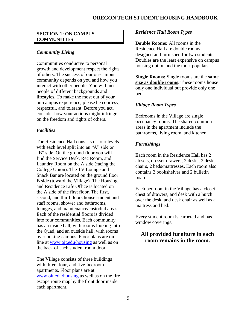### <span id="page-8-0"></span>**SECTION 1: ON CAMPUS COMMUNITIES**

### <span id="page-8-1"></span>*Community Living*

Communities conducive to personal growth and development respect the rights of others. The success of our on-campus community depends on you and how you interact with other people. You will meet people of different backgrounds and lifestyles. To make the most out of your on-campus experience, please be courtesy, respectful, and tolerant. Before you act, consider how your actions might infringe on the freedom and rights of others.

### <span id="page-8-2"></span>*Facilities*

The Residence Hall consists of four levels with each level split into an "A" side or "B" side. On the ground floor you will find the Service Desk, Rec Room, and Laundry Room on the A side (facing the College Union). The TV Lounge and Snack Bar are located on the ground floor B side (toward the Village). The Housing and Residence Life Office is located on the A side of the first floor. The first, second, and third floors house student and staff rooms, shower and bathrooms, lounges, and maintenance/custodial areas. Each of the residential floors is divided into four communities. Each community has an inside hall, with rooms looking into the Quad, and an outside hall, with rooms overlooking campus. Floor plans are online at [www.oit.edu/housing](file:///C:/Users/mandi.clark/AppData/Roaming/Microsoft/Word/www.oit.edu/housing) as well as on the back of each student room door.

The Village consists of three buildings with three, four, and five-bedroom apartments. Floor plans are at [www.oit.edu/housing](file:///C:/Users/mandi.clark/AppData/Roaming/Microsoft/Word/www.oit.edu/housing) as well as on the fire escape route map by the front door inside each apartment.

### <span id="page-8-3"></span>*Residence Hall Room Types*

**Double Rooms:** All rooms in the Residence Hall are double rooms, designed and furnished for two students. Doubles are the least expensive on campus housing option and the most popular.

**Single Rooms:** Single rooms are the **same size as double rooms**. These rooms house only one individual but provide only one bed.

### <span id="page-8-4"></span>*Village Room Types*

Bedrooms in the Village are single occupancy rooms. The shared common areas in the apartment include the bathrooms, living room, and kitchen.

### <span id="page-8-5"></span>*Furnishings*

Each room in the Residence Hall has 2 closets, dresser drawers, 2 desks, 2 desks chairs, 2 beds/mattresses. Each room also contains 2 bookshelves and 2 bulletin boards.

Each bedroom in the Village has a closet, chest of drawers, and desk with a hutch over the desk, and desk chair as well as a mattress and bed.

Every student room is carpeted and has window coverings.

# **All provided furniture in each room remains in the room.**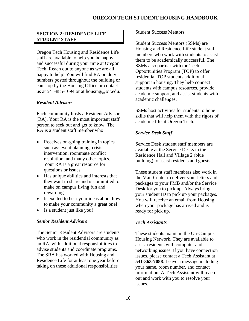### <span id="page-9-0"></span>**SECTION 2: RESIDENCE LIFE STUDENT STAFF**

Oregon Tech Housing and Residence Life staff are available to help you be happy and successful during your time at Oregon Tech. Reach out to anyone as we are all happy to help! You will find RA on duty numbers posted throughout the building or can stop by the Housing Office or contact us at 541-885-1094 or at housing@oit.edu.

### <span id="page-9-1"></span>*Resident Advisors*

Each community hosts a Resident Advisor (RA). Your RA is the most important staff person to seek out and get to know. The RA is a student staff member who:

- Receives on-going training in topics such as: event planning, crisis intervention, roommate conflict resolution, and many other topics. Your RA is a great resource for questions or issues.
- Has unique abilities and interests that they want to share and is committed to make on campus living fun and rewarding.
- Is excited to hear your ideas about how to make your community a great one!
- Is a student just like you!

### <span id="page-9-2"></span>*Senior Resident Advisors*

The Senior Resident Advisors are students who work in the residential community as an RA, with additional responsibilities to advise students and coordinate programs. The SRA has worked with Housing and Residence Life for at least one year before taking on these additional responsibilities

### Student Success Mentors

Student Success Mentors (SSMs) are Housing and Residence Life student staff members who work with students to assist them to be academically successful. The SSMs also partner with the Tech Opportunities Program (TOP) to offer residential TOP students additional support in housing. They help connect students with campus resources, provide academic support, and assist students with academic challenges.

SSMs host activities for students to hone skills that will help them with the rigors of academic life at Oregon Tech.

### <span id="page-9-3"></span>*Service Desk Staff*

Service Desk student staff members are available at the Service Desks in the Residence Hall and Village 2 (blue building) to assist residents and guests.

These student staff members also work in the Mail Center to deliver your letters and packages to your PMB and/or the Service Desk for you to pick up. Always bring your student ID to pick up your packages. You will receive an email from Housing when your package has arrived and is ready for pick up.

### <span id="page-9-4"></span>*Tech Assistants*

These students maintain the On-Campus Housing Network. They are available to assist residents with computer and networking issues. If you have connection issues, please contact a Tech Assistant at **541-363-7088**. Leave a message including your name, room number, and contact information. A Tech Assistant will reach out and work with you to resolve your issues.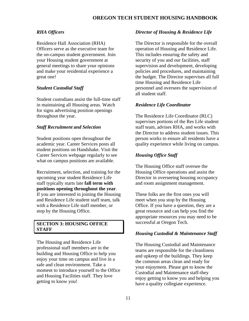# <span id="page-10-0"></span>*RHA Officers*

Residence Hall Association (RHA) Officers serve as the executive team for the on-campus student government. Join your Housing student government at general meetings to share your opinions and make your residential experience a great one!

# <span id="page-10-1"></span>*Student Custodial Staff*

Student custodians assist the full-time staff in maintaining all Housing areas. Watch for signs advertising position openings throughout the year.

# <span id="page-10-2"></span>*Staff Recruitment and Selection*

Student positions open throughout the academic year. Career Services posts all student positions on Handshake. Visit the Career Services webpage regularly to see what on campus positions are available.

Recruitment, selection, and training for the upcoming year student Residence Life staff typically starts late **fall term with positions opening throughout the year**. If you are interested in joining the Housing and Residence Life student staff team, talk with a Residence Life staff member, or stop by the Housing Office.

# <span id="page-10-3"></span>**SECTION 3: HOUSING OFFICE STAFF**

The Housing and Residence Life professional staff members are in the building and Housing Office to help you enjoy your time on campus and live in a safe and clean environment. Take a moment to introduce yourself to the Office and Housing Facilities staff. They love getting to know you!

# <span id="page-10-4"></span>*Director of Housing & Residence Life*

The Director is responsible for the overall operation of Housing and Residence Life. This includes ensuring the safety and security of you and our facilities, staff supervision and development, developing policies and procedures, and maintaining the budget. The Director supervises all full time Housing and Residence Life personnel and oversees the supervision of all student staff.

# <span id="page-10-5"></span>*Residence Life Coordinator*

The Residence Life Coordinator (RLC) supervises portions of the Res Life student staff team, advises RHA, and works with the Director to address student issues. This person works to ensure all residents have a quality experience while living on campus.

# <span id="page-10-6"></span>*Housing Office Staff*

The Housing Office staff oversee the Housing Office operations and assist the Director in overseeing housing occupancy and room assignment management.

These folks are the first ones you will meet when you stop by the Housing Office. If you have a question, they are a great resource and can help you find the appropriate resources you may need to be successful at Oregon Tech.

# <span id="page-10-7"></span>*Housing Custodial & Maintenance Staff*

The Housing Custodial and Maintenance teams are responsible for the cleanliness and upkeep of the buildings. They keep the common areas clean and ready for your enjoyment. Please get to know the Custodial and Maintenance staff-they enjoy getting to know you and helping you have a quality collegiate experience.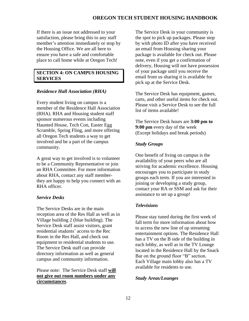If there is an issue not addressed to your satisfaction, please bring this to any staff member's attention immediately or stop by the Housing Office. We are all here to ensure you have a safe and comfortable place to call home while at Oregon Tech!

### <span id="page-11-0"></span>**SECTION 4: ON CAMPUS HOUSING SERVICES**

### <span id="page-11-1"></span>*Residence Hall Association (RHA)*

Every student living on campus is a member of the Residence Hall Association (RHA). RHA and Housing student staff sponsor numerous events including Haunted House, Tech Con, Easter Egg Scramble, Spring Fling, and more offering all Oregon Tech students a way to get involved and be a part of the campus community.

A great way to get involved is to volunteer to be a Community Representative or join an RHA Committee. For more information about RHA, contact any staff memberthey are happy to help you connect with an RHA officer.

### <span id="page-11-2"></span>*Service Desks*

The Service Desks are in the main reception area of the Res Hall as well as in Village building 2 (blue building). The Service Desk staff assist visitors, grant residential students' access to the Rec Room in the Res Hall, and check out equipment to residential students to use. The Service Desk staff can provide directory information as well as general campus and community information.

### Please note: The Service Desk staff **will not give out room numbers under any circumstances**.

The Service Desk in your community is the spot to pick up packages. Please stop by with photo ID after you have received an email from Housing sharing your package is available for check out. Please note, even if you get a confirmation of delivery, Housing will not have possession of your package until you receive the email from us sharing it is available for pick up at the Service Desk.

The Service Desk has equipment, games, carts, and other useful items for check out. Please visit a Service Desk to see the full list of items available!

The Service Desk hours are **3:00 pm to 9:00 pm** every day of the week (Except holidays and break periods)

### <span id="page-11-3"></span>*Study Groups*

One benefit of living on campus is the availability of your peers who are all striving for academic excellence. Housing encourages you to participate in study groups each term. If you are interested in joining or developing a study group, contact your RA or SSM and ask for their assistance to set up a group!

### <span id="page-11-4"></span>*Televisions*

Please stay tuned during the first week of fall term for more information about how to access the new line of up streaming entertainment options. The Residence Hall has a TV on the B side of the building in each lobby, as well as in the TV Lounge located in the Residence Hall by the Snack Bar on the ground floor "B" section. Each Village main lobby also has a TV available for residents to use.

### <span id="page-11-5"></span>*Study Areas/Lounges*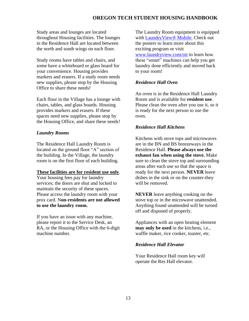Study areas and lounges are located throughout Housing facilities. The lounges in the Residence Hall are located between the north and south wings on each floor.

Study rooms have tables and chairs, and some have a whiteboard or glass board for your convenience. Housing provides markers and erasers. If a study room needs new supplies, please stop by the Housing Office to share these needs!

Each floor in the Village has a lounge with chairs, tables, and glass boards. Housing provides markers and erasers. If these spaces need new supplies, please stop by the Housing Office, and share these needs!

### <span id="page-12-0"></span>*Laundry Rooms*

The Residence Hall Laundry Room is located on the ground floor "A" section of the building. In the Village, the laundry room is on the first floor of each building.

### **These facilities are for resident use only**.

Your housing fees pay for laundry services; the doors are shut and locked to maintain the security of these spaces. Please access the laundry room with your prox card. N**on-residents are not allowed to use the laundry room.**

If you have an issue with any machine, please report it to the Service Desk, an RA, or the Housing Office with the 6-digit machine number.

The Laundry Room equipment is equipped with [LaundryView® Mobile.](http://www.laundryview.com/lvs.php?s=6696) Check out the posters to learn more about this exciting program or visit [www.laundryview.com/oit](http://www.laundryview.com/oit) to learn how these "smart" machines can help you get laundry done efficiently and moved back to your room!

### <span id="page-12-1"></span>*Residence Hall Oven*

An oven is in the Residence Hall Laundry Room and is available for **resident use**. Please clean the oven after you use it, so it is ready for the next person to use the oven.

### <span id="page-12-2"></span>*Residence Hall Kitchens*

Kitchens with stove tops and microwaves are in the BN and BS breezeways in the Residence Hall. **Please always use the exhaust fan when using the stove.** Make sure to clean the stove top and surrounding areas after each use so that the space is ready for the next person. **NEVER** leave dishes in the sink or on the counter-they will be removed.

**NEVER** leave anything cooking on the stove top or in the microwave unattended. Anything found unattended will be turned off and disposed of properly.

Appliances with an open heating element **may only be used** in the kitchens, i.e., waffle maker, rice cooker, toaster, etc.

### <span id="page-12-3"></span>*Residence Hall Elevator*

Your Residence Hall room key will operate the Res Hall elevator.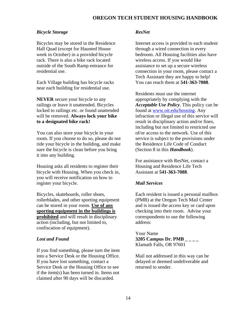### <span id="page-13-0"></span>*Bicycle Storage*

Bicycles may be stored in the Residence Hall Quad (except for Haunted House week in October) in a provided bicycle rack. There is also a bike rack located outside of the South Ramp entrance for residential use.

Each Village building has bicycle racks near each building for residential use.

**NEVER** secure your bicycle to any railings or leave it unattended. Bicycles locked to railings etc. or found unattended will be removed. **Always lock your bike to a designated bike rack!**

You can also store your bicycle in your room. If you choose to do so, please do not ride your bicycle in the building, and make sure the bicycle is clean before you bring it into any building.

Housing asks all residents to register their bicycle with Housing. When you check in, you will receive notification on how to register your bicycle.

Bicycles, skateboards, roller shoes, rollerblades, and other sporting equipment can be stored in your room. **Use of any sporting equipment in the buildings is prohibited** and will result in disciplinary action (including, but not limited to, confiscation of equipment).

### <span id="page-13-1"></span>*Lost and Found*

If you find something, please turn the item into a Service Desk or the Housing Office. If you have lost something, contact a Service Desk or the Housing Office to see if the item(s) has been turned in. Items not claimed after 90 days will be discarded.

### <span id="page-13-2"></span>*ResNet*

Internet access is provided to each student through a wired connection in every bedroom. All Housing facilities also have wireless access. If you would like assistance to set up a secure wireless connection in your room, please contact a Tech Assistant they are happy to help! You can reach them at **541-363-7088**.

Residents must use the internet appropriately by complying with the *Acceptable Use Policy*. This policy can be found at [www.oit.edu/housing.](http://www.oit.edu/housing) Any infraction or illegal use of this service will result in disciplinary action and/or fines, including but not limited to restricted use of/or access to the network. Use of this service is subject to the provisions under the Residence Life Code of Conduct (Section 8 in this *Handbook*).

For assistance with ResNet, contact a Housing and Residence Life Tech Assistant at **541-363-7088**.

### <span id="page-13-3"></span>*Mail Services*

Each resident is issued a personal mailbox (PMB) at the Oregon Tech Mail Center and is issued the access key or card upon checking into their room. Advise your correspondents to use the following address:

Your Name **3205 Campus Dr. PMB \_ \_ \_ \_** Klamath Falls, OR 97601

Mail not addressed in this way can be delayed or deemed undeliverable and returned to sender.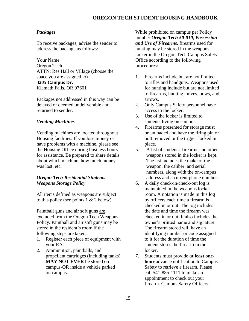### <span id="page-14-0"></span>*Packages*

To receive packages, advise the sender to address the package as follows:

Your Name Oregon Tech ATTN: Res Hall or Village (choose the space you are assigned to) **3205 Campus Dr.** Klamath Falls, OR 97601

Packages not addressed in this way can be delayed or deemed undeliverable and returned to sender.

### <span id="page-14-1"></span>*Vending Machines*

Vending machines are located throughout Housing facilities. If you lose money or have problems with a machine, please see the Housing Office during business hours for assistance. Be prepared to share details about which machine, how much money was lost, etc.

### <span id="page-14-2"></span>*Oregon Tech Residential Students Weapons Storage Policy*

All items defined as weapons are subject to this policy (see points  $1 \& 2$  below).

Paintball guns and air soft guns are excluded from the Oregon Tech Weapons Policy. Paintball and air soft guns may be stored in the resident's room if the following steps are taken:

- 1. Register each piece of equipment with your RA.
- 2. Ammunition, paintballs, and propellant cartridges (including tanks) **MAY NOT EVER** be stored on campus-OR inside a vehicle parked on campus.

While prohibited on campus per Policy number *Oregon Tech 50-010, Possession and Use of Firearms*, firearms used for hunting may be stored in the weapons locker in the Oregon Tech Campus Safety Office according to the following procedures:

- 1. Firearms include but are not limited to rifles and handguns. Weapons used for hunting include but are not limited to firearms, hunting knives, bows, and arrows.
- 2. Only Campus Safety personnel have access to the locker.
- 3. Use of the locker is limited to students living on campus.
- 4. Firearms presented for storage must be unloaded and have the firing pin or bolt removed or the trigger locked in place.
- 5. A list of students, firearms and other weapons stored in the locker is kept. The list includes the make of the weapon, the caliber, and serial numbers, along with the on-campus address and a current phone number.
- 6. A daily check-in/check-out log is maintained in the weapons locker room. A notation is made in this log by officers each time a firearm is checked in or out. The log includes the date and time the firearm was checked in or out. It also includes the owner's printed name and signature. The firearm stored will have an identifying number or code assigned to it for the duration of time the student stores the firearm in the locker.
- 7. Students must provide **at least onehour** advance notification to Campus Safety to retrieve a firearm. Please call 541-885-1111 to make an appointment to check out your firearm. Campus Safety Officers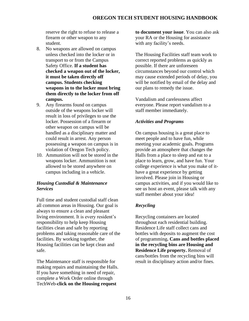reserve the right to refuse to release a firearm or other weapon to any student.

- 8. No weapons are allowed on campus unless checked into the locker or in transport to or from the Campus Safety Office. **If a student has checked a weapon out of the locker, it must be taken directly off campus. Students checking weapons in to the locker must bring them directly to the locker from off campus.**
- 9. Any firearms found on campus outside of the weapons locker will result in loss of privileges to use the locker. Possession of a firearm or other weapon on campus will be handled as a disciplinary matter and could result in arrest. Any person possessing a weapon on campus is in violation of Oregon Tech policy.
- 10. Ammunition will not be stored in the weapons locker. Ammunition is not allowed to be stored anywhere on campus including in a vehicle.

### <span id="page-15-0"></span>*Housing Custodial & Maintenance Services*

Full time and student custodial staff clean all common areas in Housing. Our goal is always to ensure a clean and pleasant living environment. It is every resident's responsibility to help keep Housing facilities clean and safe by reporting problems and taking reasonable care of the facilities. By working together, the Housing facilities can be kept clean and safe.

The Maintenance staff is responsible for making repairs and maintaining the Halls. If you have something in need of repair, complete a Work Order online through TechWeb-**click on the Housing request** 

**to document your issue**. You can also ask your RA or the Housing for assistance with any facility's needs.

The Housing Facilities staff team work to correct reported problems as quickly as possible. If there are unforeseen circumstances beyond our control which may cause extended periods of delay, you will be notified by email of the delay and our plans to remedy the issue.

Vandalism and carelessness affect everyone. Please report vandalism to a staff member immediately.

### <span id="page-15-1"></span>*Activities and Programs*

On campus housing is a great place to meet people and to have fun, while meeting your academic goals. Programs provide an atmosphere that changes the Halls from a place to sleep and eat to a place to learn, grow, and have fun. Your college experience is what you make of ithave a great experience by getting involved. Please join in Housing or campus activities, and if you would like to see us host an event, please talk with any staff member about your idea!

### <span id="page-15-2"></span>*Recycling*

Recycling containers are located throughout each residential building. Residence Life staff collect cans and bottles with deposits to augment the cost of programming**. Cans and bottles placed in the recycling bins are Housing and Residence Life property.** Removal of cans/bottles from the recycling bins will result in disciplinary action and/or fines.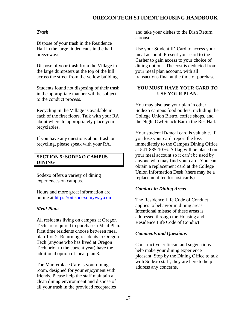### <span id="page-16-0"></span>*Trash*

Dispose of your trash in the Residence Hall in the large lidded cans in the hall breezeways.

Dispose of your trash from the Village in the large dumpsters at the top of the hill across the street from the yellow building.

Students found not disposing of their trash in the appropriate manner will be subject to the conduct process.

Recycling in the Village is available in each of the first floors. Talk with your RA about where to appropriately place your recyclables.

If you have any questions about trash or recycling, please speak with your RA.

### <span id="page-16-1"></span>**SECTION 5: SODEXO CAMPUS DINING**

Sodexo offers a variety of dining experiences on campus.

Hours and more great information are online at [https://oit.sodexomyway.com](https://oit.sodexomyway.com/)

### <span id="page-16-2"></span>*Meal Plans*

All residents living on campus at Oregon Tech are required to purchase a Meal Plan. First time residents choose between meal plan 1 or 2. Returning residents to Oregon Tech (anyone who has lived at Oregon Tech prior to the current year) have the additional option of meal plan 3.

The Marketplace Café is your dining room, designed for your enjoyment with friends. Please help the staff maintain a clean dining environment and dispose of all your trash in the provided receptacles

and take your dishes to the Dish Return carousel.

Use your Student ID Card to access your meal account. Present your card to the Casher to gain access to your choice of dining options. The cost is deducted from your meal plan account, with all transactions final at the time of purchase.

### **YOU MUST HAVE YOUR CARD TO USE YOUR PLAN.**

You may also use your plan in other Sodexo campus food outlets, including the College Union Bistro, coffee shops, and the Night Owl Snack Bar in the Res Hall.

Your student ID/meal card is valuable. If you lose your card, report the loss immediately to the Campus Dining Office at 541-885-1076. A flag will be placed on your meal account so it can't be used by anyone who may find your card. You can obtain a replacement card at the College Union Information Desk (there may be a replacement fee for lost cards).

### <span id="page-16-3"></span>*Conduct in Dining Areas*

The Residence Life Code of Conduct applies to behavior in dining areas. Intentional misuse of these areas is addressed through the Housing and Residence Life Code of Conduct.

### <span id="page-16-4"></span>*Comments and Questions*

Constructive criticism and suggestions help make your dining experience pleasant. Stop by the Dining Office to talk with Sodexo staff; they are here to help address any concerns.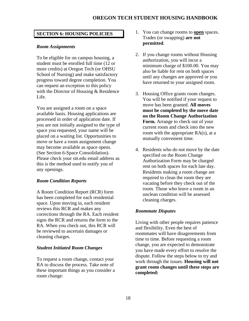### <span id="page-17-0"></span>**SECTION 6: HOUSING POLICIES**

### <span id="page-17-1"></span>*Room Assignments*

To be eligible for on campus housing, a student must be enrolled full time (12 or more credits) at Oregon Tech (or OHSU School of Nursing) and make satisfactory progress toward degree completion. You can request an exception to this policy with the Director of Housing & Residence Life.

You are assigned a room on a space available basis. Housing applications are processed in order of application date. If you are not initially assigned to the type of space you requested, your name will be placed on a waiting list. Opportunities to move or have a room assignment change may become available as space opens. (See Section 6-Space Consolidation). Please check your oit.edu email address as this is the method used to notify you of any openings.

### <span id="page-17-2"></span>*Room Condition Reports*

A Room Condition Report (RCR) form has been completed for each residential space. Upon moving in, each resident reviews this RCR and makes any corrections through the RA. Each resident signs the RCR and returns the form to the RA. When you check out, this RCR will be reviewed to ascertain damages or cleaning charges.

### <span id="page-17-3"></span>*Student Initiated Room Changes*

To request a room change, contact your RA to discuss the process. Take note of these important things as you consider a room change:

- 1. You can change rooms to **open** spaces. Trades (or swapping) **are not permitted**.
- 2. If you change rooms without Housing authorization, you will incur a minimum charge of \$100.00. You may also be liable for rent on both spaces until any changes are approved or you have returned to your assigned room.
- 3. Housing Office grants room changes. You will be notified if your request to move has been granted. **All moves must be completed by the move date on the Room Change Authorization Form.** Arrange to check out of your current room and check into the new room with the appropriate RA(s), at a mutually convenient time.
- 4. Residents who do not move by the date specified on the Room Change Authorization Form may be charged rent on both spaces for each late day. Residents making a room change are required to clean the room they are vacating before they check out of the room. Those who leave a room in an unclean condition will be assessed cleaning charges.

### <span id="page-17-4"></span>*Roommate Disputes*

Living with other people requires patience and flexibility. Even the best of roommates will have disagreements from time to time. Before requesting a room change, you are expected to demonstrate you have made every effort to resolve the dispute. Follow the steps below to try and work through the issues. **Housing will not grant room changes until these steps are completed:**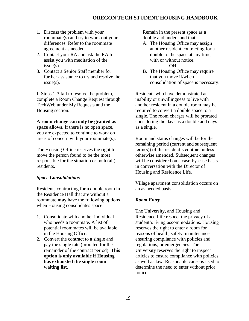- 1. Discuss the problem with your roommate(s) and try to work out your differences. Refer to the roommate agreement as needed.
- 2. Contact your RA and ask the RA to assist you with meditation of the issue(s).
- 3. Contact a Senior Staff member for further assistance to try and resolve the issue(s).

If Steps 1-3 fail to resolve the problem, complete a Room Change Request through TechWeb under My Requests and the Housing section.

**A room change can only be granted as space allows.** If there is no open space, you are expected to continue to work on areas of concern with your roommate(s).

The Housing Office reserves the right to move the person found to be the most responsible for the situation or both (all) residents.

### <span id="page-18-0"></span>*Space Consolidations*

Residents contracting for a double room in the Residence Hall that are without a roommate **may** have the following options when Housing consolidates space:

- 1. Consolidate with another individual who needs a roommate. A list of potential roommates will be available in the Housing Office.
- 2. Convert the contract to a single and pay the single rate (prorated for the remainder of the contract period). **This option is only available if Housing has exhausted the single room waiting list.**

Remain in the present space as a double and understand that:

- A. The Housing Office may assign another resident contracting for a double to the space at any time, with or without notice. **-- OR --**
- B. The Housing Office may require that you move if/when consolidation of space is necessary.

Residents who have demonstrated an inability or unwillingness to live with another resident in a double room may be required to convert a double space to a single. The room charges will be prorated considering the days as a double and days as a single.

Room and status changes will be for the remaining period (current and subsequent term(s)) of the resident's contract unless otherwise amended. Subsequent changes will be considered on a case-by-case basis in conversation with the Director of Housing and Residence Life.

Village apartment consolidation occurs on an as needed basis.

### <span id="page-18-1"></span>*Room Entry*

The University, and Housing and Residence Life respect the privacy of a student's living accommodations. Housing reserves the right to enter a room for reasons of health, safety, maintenance, ensuring compliance with policies and regulations, or emergencies. The University reserves the right to inspect articles to ensure compliance with policies as well as law. Reasonable cause is used to determine the need to enter without prior notice.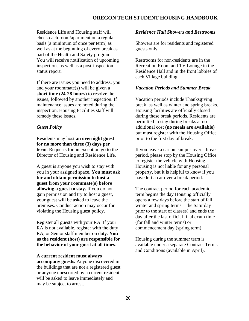Residence Life and Housing staff will check each room/apartment on a regular basis (a minimum of once per term) as well as at the beginning of every break as part of the Health and Safety program. You will receive notification of upcoming inspections as well as a post-inspection status report.

If there are issues you need to address, you and your roommate(s) will be given a **short time (24-28 hours)** to resolve the issues, followed by another inspection. If maintenance issues are noted during the inspection, Housing Facilities staff will remedy these issues.

### *Guest Policy*

Residents may host **an overnight guest for no more than three (3) days per term**. Requests for an exception go to the Director of Housing and Residence Life.

A guest is anyone you wish to stay with you in your assigned space. **You must ask for and obtain permission to host a guest from your roommate(s) before allowing a guest to stay.** If you do not gain permission and try to host a guest, your guest will be asked to leave the premises. Conduct action may occur for violating the Housing guest policy.

Register all guests with your RA. If your RA is not available, register with the duty RA, or Senior staff member on duty. **You as the resident (host) are responsible for the behavior of your guest at all times**.

#### **A current resident must always**

**accompany guests.** Anyone discovered in the buildings that are not a registered guest or anyone unescorted by a current resident will be asked to leave immediately and may be subject to arrest.

### <span id="page-19-0"></span>*Residence Hall Showers and Restrooms*

Showers are for residents and registered guests only.

Restrooms for non-residents are in the Recreation Room and TV Lounge in the Residence Hall and in the front lobbies of each Village building.

#### <span id="page-19-1"></span>*Vacation Periods and Summer Break*

Vacation periods include Thanksgiving break, as well as winter and spring breaks. Housing facilities are officially closed during these break periods. Residents are permitted to stay during breaks at no additional cost **(no meals are available)** but must register with the Housing Office prior to the first day of break.

If you leave a car on campus over a break period, please stop by the Housing Office to register the vehicle with Housing. Housing is not liable for any personal property, but it is helpful to know if you have left a car over a break period.

The contract period for each academic term begins the day Housing officially opens a few days before the start of fall winter and spring terms – the Saturday prior to the start of classes) and ends the day after the last official final exam time (for fall and winter terms) or commencement day (spring term).

Housing during the summer term is available under a separate Contract Terms and Conditions (available in April).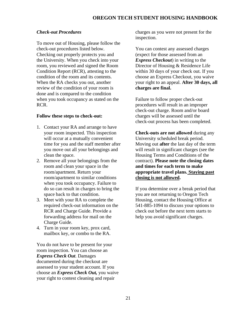### <span id="page-20-0"></span>*Check-out Procedures*

To move out of Housing, please follow the check-out procedures listed below. Checking out properly protects you and the University. When you check into your room, you reviewed and signed the Room Condition Report (RCR), attesting to the condition of the room and its contents. When the RA checks you out, another review of the condition of your room is done and is compared to the condition when you took occupancy as stated on the RCR.

### **Follow these steps to check-out:**

- 1. Contact your RA and arrange to have your room inspected. This inspection will occur at a mutually convenient time for you and the staff member after you move out all your belongings and clean the space.
- 2. Remove all your belongings from the room and clean your space in the room/apartment. Return your room/apartment to similar conditions when you took occupancy. Failure to do so can result in charges to bring the space back to that condition.
- 3. Meet with your RA to complete the required check-out information on the RCR and Charge Guide. Provide a forwarding address for mail on the Charge Guide.
- 4. Turn in your room key, prox card, mailbox key, or combo to the RA.

You do not have to be present for your room inspection. You can choose an *Express Check Out*. Damages documented during the checkout are assessed to your student account. If you choose an *Express Check Out,* you waive your right to contest cleaning and repair

charges as you were not present for the inspection.

You can contest any assessed charges (expect for those assessed from an *Express Checkout*) in writing to the Director of Housing & Residence Life within 30 days of your check out. If you choose an Express Checkout, you waive your right to an appeal. **After 30 days, all charges are final.**

Failure to follow proper check-out procedures will result in an improper check-out charge. Room and/or board charges will be assessed until the check-out process has been completed.

**Check-outs are not allowed** during any University scheduled break period. Moving out **after** the last day of the term will result in significant charges (see the Housing Terms and Conditions of the contract). **Please note the closing dates and times for each term to make appropriate travel plans. Staying past closing is not allowed.**

If you determine over a break period that you are not returning to Oregon Tech Housing, contact the Housing Office at 541-885-1094 to discuss your options to check out before the next term starts to help you avoid significant charges.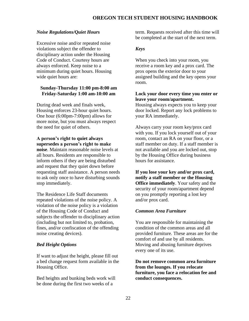### <span id="page-21-0"></span>*Noise Regulations/Quiet Hours*

Excessive noise and/or repeated noise violations subject the offender to disciplinary action under the Housing Code of Conduct. Courtesy hours are always enforced. Keep noise to a minimum during quiet hours. Housing wide quiet hours are:

### **Sunday-Thursday 11:00 pm-8:00 am Friday-Saturday 1:00 am-10:00 am**

During dead week and finals week, Housing enforces 23-hour quiet hours. One hour (6:00pm-7:00pm) allows for more noise, but you must always respect the need for quiet of others.

### **A person's right to quiet always supersedes a person's right to make**

**noise**. Maintain reasonable noise levels at all hours. Residents are responsible to inform others if they are being disturbed and request that they quiet down before requesting staff assistance. A person needs to ask only once to have disturbing sounds stop immediately.

The Residence Life Staff documents repeated violations of the noise policy. A violation of the noise policy is a violation of the Housing Code of Conduct and subjects the offender to disciplinary action (including but not limited to, probation, fines, and/or confiscation of the offending noise creating devices).

### <span id="page-21-1"></span>*Bed Height Options*

If want to adjust the height, please fill out a bed change request form available in the Housing Office.

Bed heights and bunking beds work will be done during the first two weeks of a

term. Requests received after this time will be completed at the start of the next term.

### <span id="page-21-2"></span>*Keys*

When you check into your room, you receive a room key and a prox card. The prox opens the exterior door to your assigned building and the key opens your room.

### **Lock your door every time you enter or leave your room/apartment.**

Housing always expects you to keep your door locked. Report any lock problems to your RA immediately.

Always carry your room key/prox card with you. If you lock yourself out of your room, contact an RA on your floor, or a staff member on duty. If a staff member is not available and you are locked out, stop by the Housing Office during business hours for assistance.

**If you lose your key and/or prox card, notify a staff member or the Housing Office immediately**. Your safety and the security of your room/apartment depend on you promptly reporting a lost key and/or prox card.

#### <span id="page-21-3"></span>*Common Area Furniture*

You are responsible for maintaining the condition of the common areas and all provided furniture. These areas are for the comfort of and use by all residents. Moving and abusing furniture deprives every one of its use.

**Do not remove common area furniture from the lounges. If you relocate furniture, you face a relocation fee and conduct consequences.**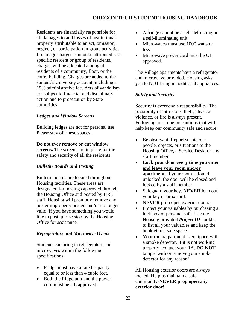Residents are financially responsible for all damages to and losses of institutional property attributable to an act, omission, neglect, or participation in group activities. If damage charges cannot be attributed to a specific resident or group of residents, charges will be allocated among all residents of a community, floor, or the entire building. Charges are added to the student's University account, including a 15% administrative fee. Acts of vandalism are subject to financial and disciplinary action and to prosecution by State authorities.

# <span id="page-22-0"></span>*Ledges and Window Screens*

Building ledges are not for personal use. Please stay off these spaces.

**Do not ever remove or cut window screens.** The screens are in place for the safety and security of all the residents.

# <span id="page-22-1"></span>*Bulletin Boards and Posting*

Bulletin boards are located throughout Housing facilities. These areas are designated for postings approved through the Housing Office and posted by HRL staff. Housing will promptly remove any poster improperly posted and/or no longer valid. If you have something you would like to post, please stop by the Housing Office for assistance.

# <span id="page-22-2"></span>*Refrigerators and Microwave Ovens*

Students can bring in refrigerators and microwaves within the following specifications:

- Fridge must have a rated capacity equal to or less than 4 cubic feet.
- Both the fridge unit and the power cord must be UL approved.
- A fridge cannot be a self-defrosting or a self-illuminating unit.
- Microwaves must use 1000 watts or less.
- Microwave power cord must be UL approved.

The Village apartments have a refrigerator and microwave provided. Housing asks you to NOT bring in additional appliances.

# <span id="page-22-3"></span>*Safety and Security*

Security is everyone's responsibility. The possibility of intrusions, theft, physical violence, or fire is always present. Following are some precautions that will help keep our community safe and secure:

- Be observant. Report suspicious people, objects, or situations to the Housing Office, a Service Desk, or any staff member.
- **Lock your door every time you enter and leave your room and/or apartment**. If your room is found unlocked, the door will be closed and locked by a staff member.
- Safeguard your key. **NEVER** loan out your key or prox card.
- **NEVER** prop open exterior doors.
- Protect your valuables by purchasing a lock box or personal safe. Use the Housing provided *Project ID* booklet to list all your valuables and keep the booklet in a safe space.
- Your room/apartment is equipped with a smoke detector. If it is not working properly, contact your RA. **DO NOT** tamper with or remove your smoke detector for any reason!

All Housing exterior doors are always locked. Help us maintain a safe community-**NEVER prop open any exterior door!**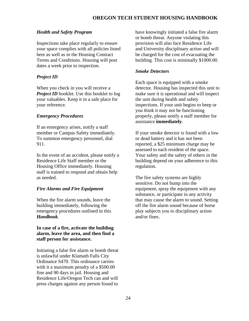### <span id="page-23-0"></span>*Health and Safety Program*

Inspections take place regularly to ensure your space complies with all policies listed here as well as in the Housing Contract Terms and Conditions. Housing will post dates a week prior to inspection.

### <span id="page-23-1"></span>*Project ID*

When you check in you will receive a *Project ID* booklet. Use this booklet to log your valuables. Keep it in a safe place for your reference.

### <span id="page-23-2"></span>*Emergency Procedures*

If an emergency arises, notify a staff member or Campus Safety immediately. To summon emergency personnel, dial 911.

In the event of an accident, please notify a Residence Life Staff member or the Housing Office immediately. Housing staff is trained to respond and obtain help as needed.

### <span id="page-23-3"></span>*Fire Alarms and Fire Equipment*

When the fire alarm sounds, leave the building immediately, following the emergency procedures outlined in this *Handbook*.

### **In case of a fire, activate the building alarm, leave the area, and then find a staff person for assistance.**

Initiating a false fire alarm or bomb threat is unlawful under Klamath Falls City Ordinance S470. This ordinance carries with it a maximum penalty of a \$500.00 fine and 90 days in jail. Housing and Residence Life/Oregon Tech can and will press charges against any person found to

have knowingly initiated a false fire alarm or bomb threat. Anyone violating this provision will also face Residence Life and University disciplinary action and will be charged for the cost of evacuating the building. This cost is minimally \$1000.00.

### <span id="page-23-4"></span>*Smoke Detectors*

Each space is equipped with a smoke detector. Housing has inspected this unit to make sure it is operational and will inspect the unit during health and safety inspections. If your unit begins to beep or you think it may not be functioning properly, please notify a staff member for assistance **immediately**.

If your smoke detector is found with a low or dead battery and it has not been reported, a \$25 minimum charge may be assessed to each resident of the space. Your safety and the safety of others in the building depend on your adherence to this regulation.

The fire safety systems are highly sensitive. Do not bump into the equipment, spray the equipment with any substance, or participate in any activity that may cause the alarm to sound. Setting off the fire alarm sound because of horse play subjects you to disciplinary action and/or fines.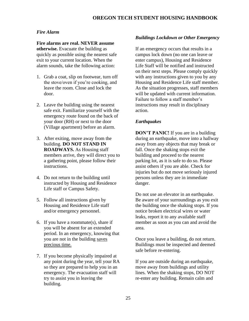# <span id="page-24-0"></span>*Fire Alarm*

**Fire alarms are real. NEVER assume otherwise.** Evacuate the building as quickly as possible using the nearest safe exit to your current location. When the alarm sounds, take the following action:

- 1. Grab a coat, slip on footwear, turn off the stove/oven if you're cooking, and leave the room. Close and lock the door.
- 2. Leave the building using the nearest safe exit. Familiarize yourself with the emergency route found on the back of your door (RH) or next to the door (Village apartment) before an alarm.
- 3. After exiting, move away from the building. **DO NOT STAND IN ROADWAYS.** As Housing staff members arrive, they will direct you to a gathering point, please follow their instructions.
- 4. Do not return to the building until instructed by Housing and Residence Life staff or Campus Safety.
- 5. Follow all instructions given by Housing and Residence Life staff and/or emergency personnel.
- 6. If you have a roommate(s), share if you will be absent for an extended period. In an emergency, knowing that you are not in the building saves precious time.
- 7. If you become physically impaired at any point during the year, tell your RA so they are prepared to help you in an emergency. The evacuation staff will try to assist you in leaving the building.

# <span id="page-24-1"></span>*Buildings Lockdown or Other Emergency*

If an emergency occurs that results in a campus lock down (no one can leave or enter campus), Housing and Residence Life Staff will be notified and instructed on their next steps. Please comply quickly with any instructions given to you by any Housing and Residence Life staff member. As the situation progresses, staff members will be updated with current information. Failure to follow a staff member's instructions may result in disciplinary action.

# <span id="page-24-2"></span>*Earthquakes*

**DON'T PANIC!** If you are in a building during an earthquake, move into a hallway away from any objects that may break or fall. Once the shaking stops exit the building and proceed to the nearest parking lot, as it is safe to do so. Please assist others if you are able. Check for injuries but do not move seriously injured persons unless they are in immediate danger.

Do not use an elevator in an earthquake. Be aware of your surroundings as you exit the building once the shaking stops. If you notice broken electrical wires or water leaks, report it to any available staff member as soon as you can and avoid the area.

Once you leave a building, do not return. Buildings must be inspected and deemed safe before re-entering.

If you are outside during an earthquake, move away from buildings and utility lines. When the shaking stops, DO NOT re-enter any building. Remain calm and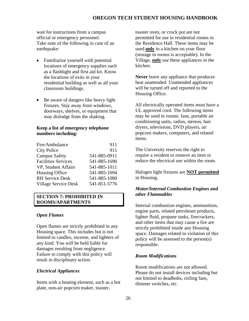wait for instructions from a campus official or emergency personnel. Take note of the following in case of an earthquake:

- Familiarize yourself with potential locations of emergency supplies such as a flashlight and first aid kit. Know the locations of exits in your residential building as well as all your classroom buildings.
- Be aware of dangers like heavy light fixtures. Stay away from windows, doorways, shelves, or equipment that may dislodge from the shaking.

### **Keep a list of emergency telephone numbers including:**

| Fire/Ambulance              | 911          |
|-----------------------------|--------------|
| <b>City Police</b>          | 911          |
| <b>Campus Safety</b>        | 541-885-0911 |
| <b>Facilities Services</b>  | 541-885-1690 |
| VP, Student Affairs         | 541-885-1011 |
| <b>Housing Office</b>       | 541-885-1094 |
| <b>RH</b> Service Desk      | 541-885-1080 |
| <b>Village Service Desk</b> | 541-851-5776 |

### <span id="page-25-0"></span>**SECTION 7: PROHIBITED IN ROOMS/APARTMENTS**

### <span id="page-25-1"></span>*Open Flames*

Open flames are strictly prohibited in any Housing space. This includes but is not limited to candles, incense, and lighters of any kind. You will be held liable for damages resulting from negligence. Failure to comply with this policy will result in disciplinary action.

### <span id="page-25-2"></span>*Electrical Appliances*

Items with a heating element, such as a hot plate, non-air popcorn maker, toaster,

toaster oven, or crock pot are not permitted for use in residential rooms in the Residence Hall. These items may be used **only** in a kitchen on your floor (storage in rooms is acceptable). In the Village, **only** use these appliances in the kitchen.

**Never** leave any appliance that produces heat unattended. Unattended appliances will be turned off and reported to the Housing Office.

All electrically operated items must have a UL approved cord. The following items may be used in rooms: fans, portable air conditioning units, radios, stereos, hair dryers, televisions, DVD players, air popcorn makers, computers, and related items.

The University reserves the right to require a resident to remove an item or reduce the electrical use within the room.

Halogen light fixtures are **NOT permitted** in Housing.

# <span id="page-25-3"></span>*Motor/Internal Combustion Engines and other Flammables*

Internal combustion engines, ammunition, engine parts, related petroleum products, lighter fluid, propane tanks, firecrackers, and other items that may cause a fire are strictly prohibited inside any Housing space. Damages related to violation of this policy will be assessed to the person(s) responsible.

### <span id="page-25-4"></span>*Room Modifications*

Room modifications are not allowed. Please do not install devices including but not limited to deadbolts, ceiling fans, dimmer switches, etc.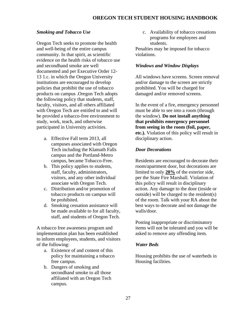# <span id="page-26-0"></span>*Smoking and Tobacco Use*

Oregon Tech seeks to promote the health and well-being of the entire campus community. In that spirit, as scientific evidence on the health risks of tobacco use and secondhand smoke are well documented and per Executive Order 12- 13 1.c. in which the Oregon University institutions are encouraged to develop policies that prohibit the use of tobacco products on campus .Oregon Tech adopts the following policy that students, staff, faculty, visitors, and all others affiliated with Oregon Tech are entitled to and will be provided a tobacco-free environment to study, work, teach, and otherwise participated in University activities.

- a. Effective Fall term 2013, all campuses associated with Oregon Tech including the Klamath Falls campus and the Portland-Metro campus, became Tobacco-Free.
- b. This policy applies to students, staff, faculty, administrators, visitors, and any other individual associate with Oregon Tech.
- c. Distribution and/or promotion of tobacco products on campus will be prohibited.
- d. Smoking cessation assistance will be made available to for all faculty, staff, and students of Oregon Tech.

A tobacco free awareness program and implementation plan has been established to inform employees, students, and visitors of the following:

- a. Existence of and content of this policy for maintaining a tobacco free campus.
- b. Dangers of smoking and secondhand smoke to all those affiliated with an Oregon Tech campus.

c. Availability of tobacco cessations programs for employees and students.

Penalties may be imposed for tobacco violations.

### <span id="page-26-1"></span>*Windows and Window Displays*

All windows have screens. Screen removal and/or damage to the screen are strictly prohibited. You will be charged for damaged and/or removed screens.

In the event of a fire, emergency personnel must be able to see into a room (through the window). **Do not install anything that prohibits emergency personnel from seeing in the room (foil, paper, etc.).** Violation of this policy will result in disciplinary action.

# <span id="page-26-2"></span>*Door Decorations*

Residents are encouraged to decorate their room/apartment door, but decorations are limited to only **20%** of the exterior side, per the State Fire Marshall. Violation of this policy will result in disciplinary action. Any damage to the door (inside or outside) will be charged to the resident(s) of the room. Talk with your RA about the best ways to decorate and not damage the walls/door.

Posting inappropriate or discriminatory items will not be tolerated and you will be asked to remove any offending item.

# <span id="page-26-3"></span>*Water Beds*

Housing prohibits the use of waterbeds in Housing facilities.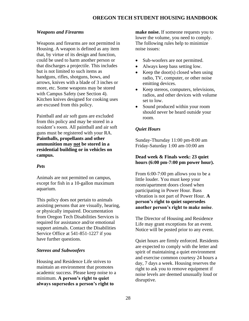# <span id="page-27-0"></span>*Weapons and Firearms*

Weapons and firearms are not permitted in Housing. A weapon is defined as any item that, by virtue of its design and function, could be used to harm another person or that discharges a projectile. This includes but is not limited to such items as handguns, rifles, shotguns, bows, and arrows, knives with a blade of 3 inches or more, etc. Some weapons may be stored with Campus Safety (see Section 4). Kitchen knives designed for cooking uses are excused from this policy.

Paintball and air soft guns are excluded from this policy and may be stored in a resident's room. All paintball and air soft guns must be registered with your RA. **Paintballs, propellants and other ammunition may not be stored in a residential building or in vehicles on campus.**

# <span id="page-27-1"></span>*Pets*

Animals are not permitted on campus, except for fish in a 10-gallon maximum aquarium.

This policy does not pertain to animals assisting persons that are visually, hearing, or physically impaired. Documentation from Oregon Tech Disabilities Services is required for assistance and/or emotional support animals. Contact the Disabilities Service Office at 541-851-1227 if you have further questions.

# <span id="page-27-2"></span>*Stereos and Subwoofers*

Housing and Residence Life strives to maintain an environment that promotes academic success. Please keep noise to a minimum. **A person's right to quiet always supersedes a person's right to** 

**make noise.** If someone requests you to lower the volume, you need to comply. The following rules help to minimize noise issues:

- Sub-woofers are not permitted.
- Always keep bass setting low.
- Keep the door(s) closed when using radio, TV, computer, or other noise emitting devices.
- Keep stereos, computers, televisions, radios, and other devices with volume set to low.
- Sound produced within your room should never be heard outside your room.

# <span id="page-27-3"></span>*Quiet Hours*

Sunday-Thursday 11:00 pm-8:00 am Friday-Saturday 1:00 am-10:00 am

# **Dead week & Finals week: 23 quiet hours (6:00 pm-7:00 pm power hour).**

From 6:00-7:00 pm allows you to be a little louder. You must keep your room/apartment doors closed when participating in Power Hour. Bass vibration is not part of Power Hour. **A person's right to quiet supersedes another person's right to make noise**.

The Director of Housing and Residence Life may grant exceptions for an event. Notice will be posted prior to any event.

Quiet hours are firmly enforced. Residents are expected to comply with the letter and spirit of maintaining a quiet environment and exercise common courtesy 24 hours a day, 7 days a week. Housing reserves the right to ask you to remove equipment if noise levels are deemed unusually loud or disruptive.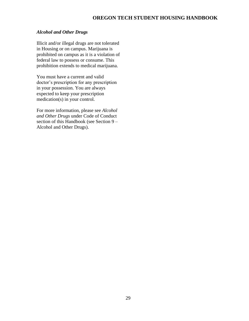### <span id="page-28-0"></span>*Alcohol and Other Drugs*

Illicit and/or illegal drugs are not tolerated in Housing or on campus. Marijuana is prohibited on campus as it is a violation of federal law to possess or consume. This prohibition extends to medical marijuana.

You must have a current and valid doctor's prescription for any prescription in your possession. You are always expected to keep your prescription medication(s) in your control.

For more information, please see *Alcohol and Other Drugs* under Code of Conduct section of this Handbook (see Section 9 – Alcohol and Other Drugs).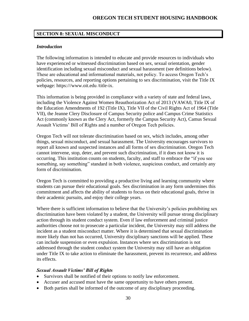# <span id="page-29-0"></span>**SECTION 8: SEXUAL MISCONDUCT**

### <span id="page-29-1"></span>*Introduction*

The following information is intended to educate and provide resources to individuals who have experienced or witnessed discrimination based on sex, sexual orientation, gender identification including sexual misconduct and sexual harassment (see definitions below). These are educational and informational materials, not policy. To access Oregon Tech's policies, resources, and reporting options pertaining to sex discrimination, visit the Title IX webpage: https:///www.oit.edu /title-ix.

This information is being provided in compliance with a variety of state and federal laws, including the Violence Against Women Reauthorization Act of 2013 (VAWA0, Title IX of the Education Amendments of 192 (Title IX), Title VII of the Civil Rights Act of 1964 (Title VII), the Jeanne Clery Disclosure of Campus Security police and Campus Crime Statistics Act (commonly known as the Clery Act, formerly the Campus Security Act), Camus Sexual Assault Victims' Bill of Rights and a number of Oregon Tech policies.

Oregon Tech will not tolerate discrimination based on sex, which includes, among other things, sexual misconduct, and sexual harassment. The University encourages survivors to report all known and suspected instances and all forms of sex discrimination. Oregon Tech cannot intervene, stop, deter, and prevent such discrimination, if it does not know it is occurring. This institution counts on students, faculty, and staff to embrace the "if you see something, say something" standard in both violence, suspicious conduct, and certainly any form of discrimination.

Oregon Tech is committed to providing a productive living and learning community where students can pursue their educational goals. Sex discrimination in any form undermines this commitment and affects the ability of students to focus on their educational goals, thrive in their academic pursuits, and enjoy their college years.

Where there is sufficient information to believe that the University's policies prohibiting sex discrimination have been violated by a student, the University will pursue strong disciplinary action through its student conduct system. Even if law enforcement and criminal justice authorities choose not to prosecute a particular incident, the University may still address the incident as a student misconduct matter. Where it is determined that sexual discrimination more likely than not has occurred, University disciplinary sanctions will be applied. These can include suspension or even expulsion. Instances where sex discrimination is not addressed through the student conduct system the University may still have an obligation under Title IX to take action to eliminate the harassment, prevent its recurrence, and address its effects.

# <span id="page-29-2"></span>*Sexual Assault Victims' Bill of Rights*

- Survivors shall be notified of their options to notify law enforcement.
- Accuser and accused must have the same opportunity to have others present.
- Both parties shall be informed of the outcome of any disciplinary proceeding.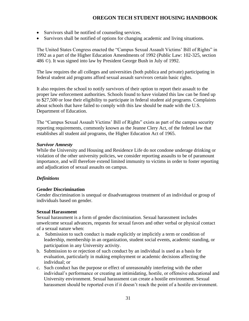- Survivors shall be notified of counseling services.
- Survivors shall be notified of options for changing academic and living situations.

The United States Congress enacted the "Campus Sexual Assault Victims' Bill of Rights" in 1992 as a part of the Higher Education Amendments of 1992 (Public Law: 102-325, section 486 ©). It was signed into law by President George Bush in July of 1992.

The law requires the all colleges and universities (both publica and private) participating in federal student aid programs afford sexual assault survivors certain basic rights.

It also requires the school to notify survivors of their option to report their assault to the proper law enforcement authorities. Schools found to have violated this law can be fined up to \$27,500 or lose their eligibility to participate in federal student aid programs. Complaints about schools that have failed to comply with this law should be made with the U.S. Department of Education.

The "Campus Sexual Assault Victims' Bill of Rights" exists as part of the campus security reporting requirements, commonly known as the Jeanne Clery Act, of the federal law that establishes all student aid programs, the Higher Education Act of 1965.

# <span id="page-30-0"></span>*Survivor Amnesty*

While the University and Housing and Residence Life do not condone underage drinking or violation of the other university policies, we consider reporting assaults to be of paramount importance, and will therefore extend limited immunity to victims in order to foster reporting and adjudication of sexual assaults on campus.

# <span id="page-30-1"></span>*Definitions*

# <span id="page-30-2"></span>**Gender Discrimination**

Gender discrimination is unequal or disadvantageous treatment of an individual or group of individuals based on gender.

# <span id="page-30-3"></span>**Sexual Harassment**

Sexual harassment is a form of gender discrimination. Sexual harassment includes unwelcome sexual advances, requests for sexual favors and other verbal or physical contact of a sexual nature when:

- a. Submission to such conduct is made explicitly or implicitly a term or condition of leadership, membership in an organization, student social events, academic standing, or participation in any University activity.
- b. Submission to or rejection of such conduct by an individual is used as a basis for evaluation, particularly in making employment or academic decisions affecting the individual; or
- c. Such conduct has the purpose or effect of unreasonably interfering with the other individual's performance or creating an intimidating, hostile, or offensive educational and University environment. Sexual harassment can create a hostile environment. Sexual harassment should be reported even if it doesn't reach the point of a hostile environment.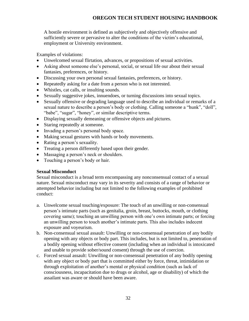A hostile environment is defined as subjectively and objectively offensive and sufficiently severe or pervasive to alter the conditions of the victim's educational, employment or University environment.

Examples of violations:

- Unwelcomed sexual flirtation, advances, or propositions of sexual activities.
- Asking about someone else's personal, social, or sexual life our about their sexual fantasies, preferences, or history.
- Discussing your own personal sexual fantasies, preferences, or history.
- Repeatedly asking for a date from a person who is not interested.
- Whistles, cat calls, or insulting sounds.
- Sexually suggestive jokes, innuendoes, or turning discussions into sexual topics.
- Sexually offensive or degrading language used to describe an individual or remarks of a sexual nature to describe a person's body or clothing. Calling someone a "hunk", "doll", "babe", "sugar", "honey", or similar descriptive terms.
- Displaying sexually demeaning or offensive objects and pictures.
- Staring repeatedly at someone.
- Invading a person's personal body space.
- Making sexual gestures with hands or body movements.
- Rating a person's sexuality.
- Treating a person differently based upon their gender.
- Massaging a person's neck or shoulders.
- Touching a person's body or hair.

# <span id="page-31-0"></span>**Sexual Misconduct**

Sexual misconduct is a broad term encompassing any nonconsensual contact of a sexual nature. Sexual misconduct may vary in its severity and consists of a range of behavior or attempted behavior including but not limited to the following examples of prohibited conduct:

- a. Unwelcome sexual touching/exposure: The touch of an unwilling or non-consensual person's intimate parts (such as genitalia, groin, breast, buttocks, mouth, or clothing covering same); touching an unwilling person with one's own intimate parts; or forcing an unwilling person to touch another's intimate parts. This also includes indecent exposure and voyeurism.
- b. Non-consensual sexual assault: Unwilling or non-consensual penetration of any bodily opening with any objects or body part. This includes, but is not limited to, penetration of a bodily opening without effective consent (including when an individual is intoxicated and unable to provide sober/sound consent) through the use of coercion.
- c. Forced sexual assault: Unwilling or non-consensual penetration of any bodily opening with any object or body part that is committed either by force, threat, intimidation or through exploitation of another's mental or physical condition (such as lack of consciousness, incapacitation due to drugs or alcohol, age or disability) of which the assailant was aware or should have been aware.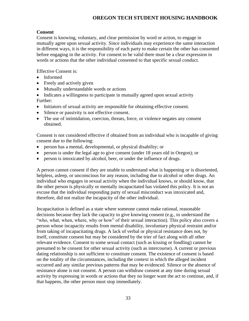# <span id="page-32-0"></span>**Consent**

Consent is knowing, voluntary, and clear permission by word or action, to engage in mutually agree upon sexual activity. Since individuals may experience the same interaction in different ways, it is the responsibility of each party to make certain the other has consented before engaging in the activity. For consent to be valid there must be a clear expression in words or actions that the other individual consented to that specific sexual conduct.

Effective Consent is:

- Informed
- Freely and actively given
- Mutually understandable words or actions
- Indicates a willingness to participate in mutually agreed upon sexual activity Further:
- Initiators of sexual activity are responsible for obtaining effective consent.
- Silence or passivity is not effective consent.
- The use of intimidation, coercion, threats, force, or violence negates any consent obtained.

Consent is not considered effective if obtained from an individual who is incapable of giving consent due to the following:

- person has a mental, developmental, or physical disability; or
- person is under the legal age to give consent (under 18 years old in Oregon); or
- person is intoxicated by alcohol, beer, or under the influence of drugs.

A person cannot consent if they are unable to understand what is happening or is disoriented, helpless, asleep, or unconscious for any reason, including due to alcohol or other drugs. An individual who engages in sexual activity when the individual knows, or should know, that the other person is physically or mentally incapacitated has violated this policy. It is not an excuse that the individual responding party of sexual misconduct was intoxicated and, therefore, did not realize the incapacity of the other individual.

Incapacitation is defined as a state where someone cannot make rational, reasonable decisions because they lack the capacity to give knowing consent (e.g., to understand the "who, what, when, where, why or how" of their sexual interaction). This policy also covers a person whose incapacity results from mental disability, involuntary physical restraint and/or from taking of incapacitating drugs. A lack of verbal or physical resistance does not, by itself, constitute consent but may be considered by the trier of fact along with all other relevant evidence. Consent to some sexual contact (such as kissing or fondling) cannot be presumed to be consent for other sexual activity (such as intercourse). A current or previous dating relationship is not sufficient to constitute consent. The existence of consent is based on the totality of the circumstances, including the context in which the alleged incident occurred and any similar previous patterns that may be evidenced. Silence or the absence of resistance alone is not consent. A person can withdraw consent at any time during sexual activity by expressing in words or actions that they no longer want the act to continue, and, if that happens, the other person must stop immediately.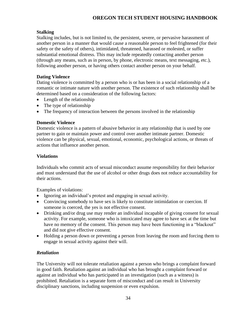# <span id="page-33-0"></span>**Stalking**

Stalking includes, but is not limited to, the persistent, severe, or pervasive harassment of another person in a manner that would cause a reasonable person to feel frightened (for their safety or the safety of others), intimidated, threatened, harassed or molested, or suffer substantial emotional distress. This may include repeatedly contacting another person (through any means, such as in person, by phone, electronic means, text messaging, etc.), following another person, or having others contact another person on your behalf.

# <span id="page-33-1"></span>**Dating Violence**

Dating violence is committed by a person who is or has been in a social relationship of a romantic or intimate nature with another person. The existence of such relationship shall be determined based on a consideration of the following factors:

- Length of the relationship
- The type of relationship
- The frequency of interaction between the persons involved in the relationship

# <span id="page-33-2"></span>**Domestic Violence**

Domestic violence is a pattern of abusive behavior in any relationship that is used by one partner to gain or maintain power and control over another intimate partner. Domestic violence can be physical, sexual, emotional, economic, psychological actions, or threats of actions that influence another person.

# <span id="page-33-3"></span>**Violations**

Individuals who commit acts of sexual misconduct assume responsibility for their behavior and must understand that the use of alcohol or other drugs does not reduce accountability for their actions.

Examples of violations:

- Ignoring an individual's protest and engaging in sexual activity.
- Convincing somebody to have sex is likely to constitute intimidation or coercion. If someone is coerced, the yes is not effective consent.
- Drinking and/or drug use may render an individual incapable of giving consent for sexual activity. For example, someone who is intoxicated may agree to have sex at the time but have no memory of the consent. This person may have been functioning in a "blackout" and did not give effective consent.
- Holding a person down or preventing a person from leaving the room and forcing them to engage in sexual activity against their will.

# <span id="page-33-4"></span>*Retaliation*

The University will not tolerate retaliation against a person who brings a complaint forward in good faith. Retaliation against an individual who has brought a complaint forward or against an individual who has participated in an investigation (such as a witness) is prohibited. Retaliation is a separate form of misconduct and can result in University disciplinary sanctions, including suspension or even expulsion.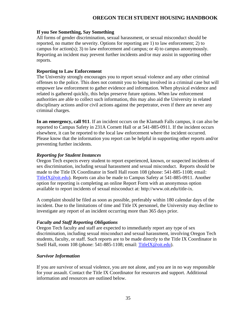### <span id="page-34-0"></span>**If you See Something, Say Something**

All forms of gender discrimination, sexual harassment, or sexual misconduct should be reported, no matter the severity. Options for reporting are 1) to law enforcement; 2) to campus for action(s); 3) to law enforcement and campus; or 4) to campus anonymously. Reporting an incident may prevent further incidents and/or may assist in supporting other reports.

### <span id="page-34-1"></span>**Reporting to Law Enforcement**

The University strongly encourages you to report sexual violence and any other criminal offenses to the police. This does not commit you to being involved in a criminal case but will empower law enforcement to gather evidence and information. When physical evidence and related is gathered quickly, this helps preserve future options. When law enforcement authorities are able to collect such information, this may also aid the University in related disciplinary actions and/or civil actions against the perpetrator, even if there are never any criminal charges.

**In an emergency, call 911**. If an incident occurs on the Klamath Falls campus, it can also be reported to Campus Safety in 231A Cornett Hall or at 541-885-0911. If the incident occurs elsewhere, it can be reported to the local law enforcement where the incident occurred. Please know that the information you report can be helpful in supporting other reports and/or preventing further incidents.

### <span id="page-34-2"></span>*Reporting for Student Instances*

Oregon Tech expects every student to report experienced, known, or suspected incidents of sex discrimination, including sexual harassment and sexual misconduct. Reports should be made to the Title IX Coordinator in Snell Hall room 108 (phone: 541-885-1108; email: [TitleIX@oit.edu\)](mailto:TitleIX@oit.edu). Reports can also be made to Campus Safety at 541-885-0911. Another option for reporting is completing an online Report Form with an anonymous option available to report incidents of sexual misconduct at: http://www.oit.edu/title-ix.

A complaint should be filed as soon as possible, preferably within 180 calendar days of the incident. Due to the limitations of time and Title IX personnel, the University may decline to investigate any report of an incident occurring more than 365 days prior.

### <span id="page-34-3"></span>*Faculty and Staff Reporting Obligations*

Oregon Tech faculty and staff are expected to immediately report any type of sex discrimination, including sexual misconduct and sexual harassment, involving Oregon Tech students, faculty, or staff. Such reports are to be made directly to the Title IX Coordinator in Snell Hall, room 108 (phone: 541-885-1108; email: [TitleIX@oit.edu\)](mailto:TitleIX@oit.edu).

### <span id="page-34-4"></span>*Survivor Information*

If you are survivor of sexual violence, you are not alone, and you are in no way responsible for your assault. Contact the Title IX Coordinator for resources and support. Additional information and resources are outlined below.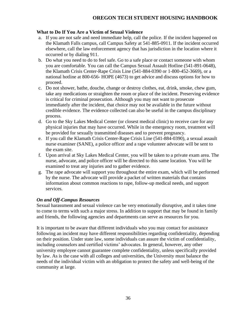# <span id="page-35-0"></span>**What to Do If You Are a Victim of Sexual Violence**

- a. If you are not safe and need immediate help, call the police. If the incident happened on the Klamath Falls campus, call Campus Safety at 541-885-0911. If the incident occurred elsewhere, call the law enforcement agency that has jurisdiction in the location where it occurred or by dialing 911.
- b. Do what you need to do to feel safe. Go to a safe place or contact someone with whom you are comfortable. You can call the Campus Sexual Assault Hotline (541-891-0648), the Klamath Crisis Center-Rape Crisis Line (541-884-0390 or 1-800-452-3669), or a national hotline at 800-656- HOPE (4673) to get advice and discuss options for how to proceed.
- c. Do not shower, bathe, douche, change or destroy clothes, eat, drink, smoke, chew gum, take any medications or straighten the room or place of the incident. Preserving evidence is critical for criminal prosecution. Although you may not want to prosecute immediately after the incident, that choice may not be available in the future without credible evidence. The evidence collected can also be useful in the campus disciplinary process.
- d. Go to the Sky Lakes Medical Center (or closest medical clinic) to receive care for any physical injuries that may have occurred. While in the emergency room, treatment will be provided for sexually transmitted diseases and to prevent pregnancy.
- e. If you call the Klamath Crisis Center-Rape Crisis Line (541-884-0390), a sexual assault nurse examiner (SANE), a police officer and a rape volunteer advocate will be sent to the exam site.
- f. Upon arrival at Sky Lakes Medical Center, you will be taken to a private exam area. The nurse, advocate, and police officer will be directed to this same location. You will be examined to treat any injuries and to gather evidence.
- g. The rape advocate will support you throughout the entire exam, which will be performed by the nurse. The advocate will provide a packet of written materials that contains information about common reactions to rape, follow-up medical needs, and support services.

# <span id="page-35-1"></span>*On and Off-Campus Resources*

Sexual harassment and sexual violence can be very emotionally disruptive, and it takes time to come to terms with such a major stress. In addition to support that may be found in family and friends, the following agencies and departments can serve as resources for you.

It is important to be aware that different individuals who you may contact for assistance following an incident may have different responsibilities regarding confidentiality, depending on their position. Under state law, some individuals can assure the victim of confidentiality, including counselors and certified victims' advocates. In general, however, any other university employee cannot guarantee complete confidentiality, unless specifically provided by law. As is the case with all colleges and universities, the University must balance the needs of the individual victim with an obligation to protect the safety and well-being of the community at large.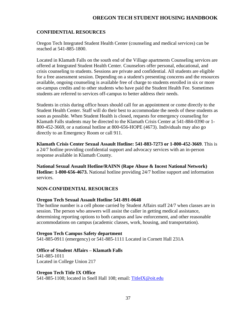### <span id="page-36-0"></span>**CONFIDENTIAL RESOURCES**

Oregon Tech Integrated Student Health Center (counseling and medical services) can be reached at 541-885-1800.

Located in Klamath Falls on the south end of the Village apartments Counseling services are offered at Integrated Student Health Center. Counselors offer personal, educational, and crisis counseling to students. Sessions are private and confidential. All students are eligible for a free assessment session. Depending on a student's presenting concerns and the resources available, ongoing counseling is available free of charge to students enrolled in six or more on-campus credits and to other students who have paid the Student Health Fee. Sometimes students are referred to services off-campus to better address their needs.

Students in crisis during office hours should call for an appointment or come directly to the Student Health Center. Staff will do their best to accommodate the needs of these students as soon as possible. When Student Health is closed, requests for emergency counseling for Klamath Falls students may be directed to the Klamath Crisis Center at 541-884-0390 or 1- 800-452-3669, or a national hotline at 800-656-HOPE (4673). Individuals may also go directly to an Emergency Room or call 911.

**Klamath Crisis Center Sexual Assault Hotline: 541-883-7273 or 1-800-452-3669**. This is a 24/7 hotline providing confidential support and advocacy services with an in-person response available in Klamath County.

**National Sexual Assault Hotline/RAINN (Rape Abuse & Incest National Network) Hotline: 1-800-656-4673.** National hotline providing 24/7 hotline support and information services.

### **NON-CONFIDENTIAL RESOURCES**

### <span id="page-36-1"></span>**Oregon Tech Sexual Assault Hotline 541-891-0648**

The hotline number is a cell phone carried by Student Affairs staff 24/7 when classes are in session. The person who answers will assist the caller in getting medical assistance, determining reporting options to both campus and law enforcement, and other reasonable accommodations on campus (academic classes, work, housing, and transportation).

#### <span id="page-36-2"></span>**Oregon Tech Campus Safety department**

541-885-0911 (emergency) or 541-885-1111 Located in Cornett Hall 231A

### <span id="page-36-3"></span>**Office of Student Affairs – Klamath Falls**

<span id="page-36-4"></span>541-885-1011 Located in College Union 217

### **Oregon Tech Title IX Office**

541-885-1108; located in Snell Hall 108; email: [TitleIX@oit.edu](mailto:TitleIX@oit.edu)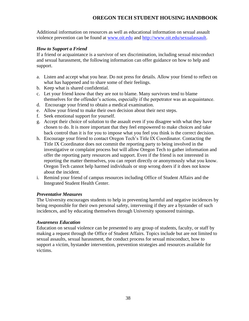Additional information on resources as well as educational information on sexual assault violence prevention can be found at [www.oit.edu](http://www.oit.edu/) and [http://www.oit.edu/sexualassault.](http://www.oit.edu/sexualassault)

# <span id="page-37-0"></span>*How to Support a Friend*

If a friend or acquaintance is a survivor of sex discrimination, including sexual misconduct and sexual harassment, the following information can offer guidance on how to help and support.

- a. Listen and accept what you hear. Do not press for details. Allow your friend to reflect on what has happened and to share some of their feelings.
- b. Keep what is shared confidential.
- c. Let your friend know that they are not to blame. Many survivors tend to blame themselves for the offender's actions, especially if the perpetrator was an acquaintance.
- d. Encourage your friend to obtain a medical examination.
- e. Allow your friend to make their own decision about their next steps.
- f. Seek emotional support for yourself.
- g. Accept their choice of solution to the assault even if you disagree with what they have chosen to do. It is more important that they feel empowered to make choices and take back control than it is for you to impose what you feel you think is the correct decision.
- h. Encourage your friend to contact Oregon Tech's Title IX Coordinator. Contacting the Title IX Coordinator does not commit the reporting party to being involved in the investigative or complaint process but will allow Oregon Tech to gather information and offer the reporting party resources and support. Even if the friend is not interested in reporting the matter themselves, you can report directly or anonymously what you know. Oregon Tech cannot help harmed individuals or stop wrong doers if it does not know about the incident.
- i. Remind your friend of campus resources including Office of Student Affairs and the Integrated Student Health Center.

# <span id="page-37-1"></span>*Preventative Measures*

The University encourages students to help in preventing harmful and negative incidences by being responsible for their own personal safety, intervening if they are a bystander of such incidences, and by educating themselves through University sponsored trainings.

# <span id="page-37-2"></span>*Awareness Education*

Education on sexual violence can be presented to any group of students, faculty, or staff by making a request through the Office of Student Affairs. Topics include but are not limited to sexual assaults, sexual harassment, the conduct process for sexual misconduct, how to support a victim, bystander intervention, prevention strategies and resources available for victims.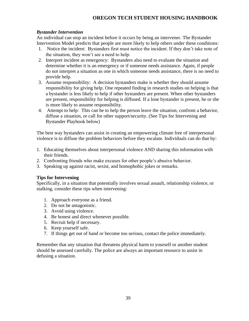# <span id="page-38-0"></span>*Bystander Intervention*

An individual can stop an incident before it occurs by being an intervener. The Bystander Intervention Model predicts that people are more likely to help others under these conditions:

- 1. Notice the incident: Bystanders first must notice the incident. If they don't take note of the situation, they won't see a need to help.
- 2. Interpret incident as emergency: Bystanders also need to evaluate the situation and determine whether it is an emergency or if someone needs assistance. Again, if people do not interpret a situation as one in which someone needs assistance, there is no need to provide help.
- 3. Assume responsibility: A decision bystanders make is whether they should assume responsibility for giving help. One repeated finding in research studies on helping is that a bystander is less likely to help if other bystanders are present. When other bystanders are present, responsibility for helping is diffused. If a lone bystander is present, he or she is more likely to assume responsibility.
- 4. Attempt to help: This can be to help the person leave the situation, confront a behavior, diffuse a situation, or call for other support/security. (See Tips for Intervening and Bystander Playbook below)

The best way bystanders can assist in creating an empowering climate free of interpersonal violence is to diffuse the problem behaviors before they escalate. Individuals can do that by:

- 1. Educating themselves about interpersonal violence AND sharing this information with their friends.
- 2. Confronting friends who make excuses for other people's abusive behavior.
- 3. Speaking up against racist, sexist, and homophobic jokes or remarks.

# <span id="page-38-1"></span>**Tips for Intervening**

Specifically, in a situation that potentially involves sexual assault, relationship violence, or stalking, consider these tips when intervening:

- 1. Approach everyone as a friend.
- 2. Do not be antagonistic.
- 3. Avoid using violence.
- 4. Be honest and direct whenever possible.
- 5. Recruit help if necessary.
- 6. Keep yourself safe.
- 7. If things get out of hand or become too serious, contact the police immediately.

Remember that any situation that threatens physical harm to yourself or another student should be assessed carefully. The police are always an important resource to assist in defusing a situation.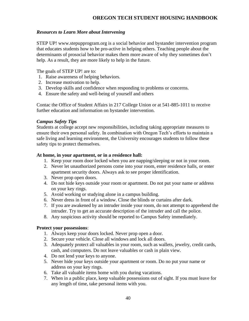### <span id="page-39-0"></span>*Resources to Learn More about Intervening*

STEP UP! www.stepupprogram.org is a social behavior and bystander intervention program that educates students how to be pro-active in helping others. Teaching people about the determinants of prosocial behavior makes them more aware of why they sometimes don't help. As a result, they are more likely to help in the future.

The goals of STEP UP! are to:

- 1. Raise awareness of helping behaviors.
- 2. Increase motivation to help.
- 3. Develop skills and confidence when responding to problems or concerns.
- 4. Ensure the safety and well-being of yourself and others

Contac the Office of Student Affairs in 217 College Union or at 541-885-1011 to receive further education and information on bystander intervention.

# <span id="page-39-1"></span>*Campus Safety Tips*

Students at college accept new responsibilities, including taking appropriate measures to ensure their own personal safety. In combination with Oregon Tech's efforts to maintain a safe living and learning environment, the University encourages students to follow these safety tips to protect themselves.

### **At home, in your apartment, or in a residence hall:**

- 1. Keep your room door locked when you are napping/sleeping or not in your room.
- 2. Never let unauthorized persons come into your room, enter residence halls, or enter apartment security doors. Always ask to see proper identification.
- 3. Never prop open doors.
- 4. Do not hide keys outside your room or apartment. Do not put your name or address on your key rings.
- 5. Avoid working or studying alone in a campus building.
- 6. Never dress in front of a window. Close the blinds or curtains after dark.
- 7. If you are awakened by an intruder inside your room, do not attempt to apprehend the intruder. Try to get an accurate description of the intruder and call the police.
- 8. Any suspicious activity should be reported to Campus Safety immediately.

### **Protect your possessions**:

- 1. Always keep your doors locked. Never prop open a door.
- 2. Secure your vehicle. Close all windows and lock all doors.
- 3. Adequately protect all valuables in your room, such as wallets, jewelry, credit cards, cash, and computers. Do not leave valuables or cash in plain view.
- 4. Do not lend your keys to anyone.
- 5. Never hide your keys outside your apartment or room. Do no put your name or address on your key rings.
- 6. Take all valuable items home with you during vacations.
- 7. When in a public place, keep valuable possessions out of sight. If you must leave for any length of time, take personal items with you.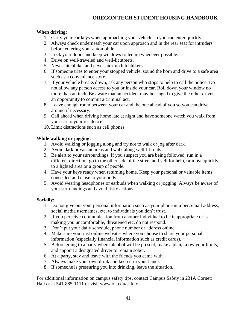# **When driving:**

- 1. Carry your car keys when approaching your vehicle so you can enter quickly.
- 2. Always check underneath your car upon approach and in the rear seat for intruders before entering your automobile.
- 3. Lock your doors and keep windows rolled up whenever possible.
- 4. Drive on well-traveled and well-lit streets.
- 5. Never hitchhike, and never pick up hitchhikers.
- 6. If someone tries to enter your stopped vehicle, sound the horn and drive to a safe area such as a convenience store.
- 7. If your vehicle breaks down, ask any person who stops to help to call the police. Do not allow any person access to you or inside your car. Roll down your window no more than an inch. Be aware that an accident may be staged to give the other driver an opportunity to commit a criminal act.
- 8. Leave enough room between your car and the one ahead of you so you can drive around if necessary.
- 9. Call ahead when driving home late at night and have someone watch you walk from your car to your residence.
- 10. Limit distractions such as cell phones.

# **While walking or jogging:**

- 1. Avoid walking or jogging along and try not to walk or jog after dark.
- 2. Avoid dark or vacant areas and walk along well-lit routs.
- 3. Be alert to your surroundings. If you suspect you are being followed, run in a different direction, go to the other side of the street and yell for help, or move quickly to a lighted area or a group of people.
- 4. Have your keys ready when returning home. Keep your personal or valuable items concealed and close to your body.
- 5. Avoid wearing headphones or earbuds when walking or jogging. Always be aware of your surroundings and avoid risky actions.

# **Socially:**

- 1. Do not give out your personal information such as your phone number, email address, social media usernames, etc. to individuals you don't trust.
- 2. If you perceive communication from another individual to be inappropriate or is making you uncomfortable, threatened etc. do not respond.
- 3. Don't put your daily schedule, phone number or address online.
- 4. Make sure you trust online websites where you choose to share your personal information (especially financial information such as credit cards).
- 5. Before going to a party where alcohol will be present, make a plan, know your limits, and appoint a designated driver to remain sober.
- 6. At a party, stay and leave with the friends you came with.
- 7. Always make your own drink and keep it in your hands.
- 8. If someone is pressuring you into drinking, leave the situation.

For additional information on campus safety tips, contact Campus Safety in 231A Cornett Hall or at 541-885-1111 or visit www.oit.edu/safety.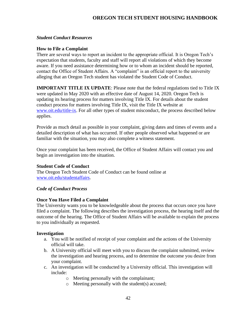### <span id="page-41-0"></span>*Student Conduct Resources*

### <span id="page-41-1"></span>**How to File a Complaint**

There are several ways to report an incident to the appropriate official. It is Oregon Tech's expectation that students, faculty and staff will report all violations of which they become aware. If you need assistance determining how or to whom an incident should be reported, contact the Office of Student Affairs. A "complaint" is an official report to the university alleging that an Oregon Tech student has violated the Student Code of Conduct.

**IMPORTANT TITLE IX UPDATE:** Please note that the federal regulations tied to Title IX were updated in May 2020 with an effective date of August 14, 2020. Oregon Tech is updating its hearing process for matters involving Title IX. For details about the student conduct process for matters involving Title IX, visit the Title IX website at [www.oit.edu/title-ix.](http://www.oit.edu/title-ix) For all other types of student misconduct, the process described below applies.

Provide as much detail as possible in your complaint, giving dates and times of events and a detailed description of what has occurred. If other people observed what happened or are familiar with the situation, you may also complete a witness statement.

Once your complaint has been received, the Office of Student Affairs will contact you and begin an investigation into the situation.

# <span id="page-41-2"></span>**Student Code of Conduct**

The Oregon Tech Student Code of Conduct can be found online at [www.oit.edu/studentaffairs.](http://www.oit.edu/studentaffairs)

### <span id="page-41-3"></span>*Code of Conduct Process*

# <span id="page-41-4"></span>**Once You Have Filed a Complaint**

The University wants you to be knowledgeable about the process that occurs once you have filed a complaint. The following describes the investigation process, the hearing itself and the outcome of the hearing. The Office of Student Affairs will be available to explain the process to you individually as requested.

### <span id="page-41-5"></span>**Investigation**

- a. You will be notified of receipt of your complaint and the actions of the University official will take.
- b. A University official will meet with you to discuss the complaint submitted, review the investigation and hearing process, and to determine the outcome you desire from your complaint.
- c. An investigation will be conducted by a University official. This investigation will include:
	- o Meeting personally with the complainant;
	- $\circ$  Meeting personally with the student(s) accused;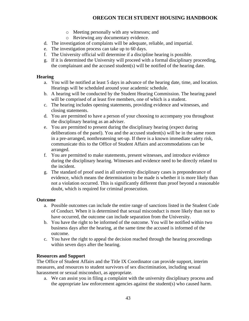- o Meeting personally with any witnesses; and
- o Reviewing any documentary evidence.
- d. The investigation of complaints will be adequate, reliable, and impartial.
- e. The investigation process can take up to 60 days.
- f. The University official will determine if a discipline hearing is possible.
- g. If it is determined the University will proceed with a formal disciplinary proceeding, the complainant and the accused student(s) will be notified of the hearing date.

# <span id="page-42-0"></span>**Hearing**

- a. You will be notified at least 5 days in advance of the hearing date, time, and location. Hearings will be scheduled around your academic schedule.
- b. A hearing will be conducted by the Student Hearing Commission. The hearing panel will be comprised of at least five members, one of which is a student.
- c. The hearing includes opening statements, providing evidence and witnesses, and closing statements.
- d. You are permitted to have a person of your choosing to accompany you throughout the disciplinary hearing as an adviser.
- e. You are permitted to present during the disciplinary hearing (expect during deliberations of the panel). You and the accused student(s) will be in the same room in a pre-arranged, nonthreatening set-up. If there is a known immediate safety risk, communicate this to the Office of Student Affairs and accommodations can be arranged.
- f. You are permitted to make statements, present witnesses, and introduce evidence during the disciplinary hearing. Witnesses and evidence need to be directly related to the incident.
- g. The standard of proof used in all university disciplinary cases is preponderance of evidence, which means the determination to be made is whether it is more likely than not a violation occurred. This is significantly different than proof beyond a reasonable doubt, which is required for criminal prosecution.

# <span id="page-42-1"></span>**Outcome**

- a. Possible outcomes can include the entire range of sanctions listed in the Student Code of Conduct. When it is determined that sexual misconduct is more likely than not to have occurred, the outcome can include separation from the University.
- b. You have the right to be informed of the outcome. You will be notified within two business days after the hearing, at the same time the accused is informed of the outcome.
- c. You have the right to appeal the decision reached through the hearing proceedings within seven days after the hearing.

# <span id="page-42-2"></span>**Resources and Support**

The Office of Student Affairs and the Title IX Coordinator can provide support, interim measures, and resources to student survivors of sex discrimination, including sexual harassment or sexual misconduct, as appropriate.

a. We can assist you in filing a complaint with the university disciplinary process and the appropriate law enforcement agencies against the student(s) who caused harm.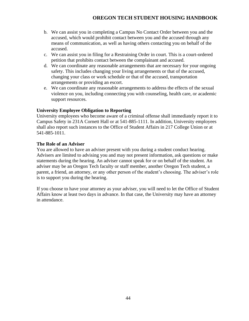- b. We can assist you in completing a Campus No Contact Order between you and the accused, which would prohibit contact between you and the accused through any means of communication, as well as having others contacting you on behalf of the accused.
- c. We can assist you in filing for a Restraining Order in court. This is a court-ordered petition that prohibits contact between the complainant and accused.
- d. We can coordinate any reasonable arrangements that are necessary for your ongoing safety. This includes changing your living arrangements or that of the accused, changing your class or work schedule or that of the accused, transportation arrangements or providing an escort.
- e. We can coordinate any reasonable arrangements to address the effects of the sexual violence on you, including connecting you with counseling, health care, or academic support resources.

### <span id="page-43-0"></span>**University Employee Obligation to Reporting**

University employees who become aware of a criminal offense shall immediately report it to Campus Safety in 231A Cornett Hall or at 541-885-1111. In addition, University employees shall also report such instances to the Office of Student Affairs in 217 College Union or at 541-885-1011.

### <span id="page-43-1"></span>**The Role of an Adviser**

You are allowed to have an adviser present with you during a student conduct hearing. Advisers are limited to advising you and may not present information, ask questions or make statements during the hearing. An adviser cannot speak for or on behalf of the student. An adviser may be an Oregon Tech faculty or staff member, another Oregon Tech student, a parent, a friend, an attorney, or any other person of the student's choosing. The adviser's role is to support you during the hearing.

If you choose to have your attorney as your adviser, you will need to let the Office of Student Affairs know at least two days in advance. In that case, the University may have an attorney in attendance.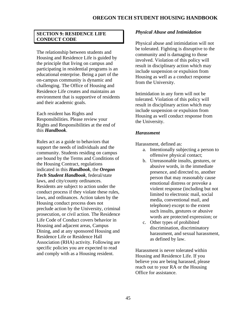# <span id="page-44-0"></span>**SECTION 9: RESIDENCE LIFE CONDUCT CODE**

The relationship between students and Housing and Residence Life is guided by the principle that living on campus and participating in residential programs is an educational enterprise. Being a part of the on-campus community is dynamic and challenging. The Office of Housing and Residence Life creates and maintains an environment that is supportive of residents and their academic goals.

Each resident has Rights and Responsibilities. Please review your Rights and Responsibilities at the end of this *Handbook*.

Rules act as a guide to behaviors that support the needs of individuals and the community. Students residing on campus are bound by the Terms and Conditions of the Housing Contract, regulations indicated in this *Handbook*, the *Oregon Tech Student Handbook*, federal/state laws, and city/county ordinances. Residents are subject to action under the conduct process if they violate these rules, laws, and ordinances. Action taken by the Housing conduct process does not preclude action by the University, criminal prosecution, or civil action. The Residence Life Code of Conduct covers behavior in Housing and adjacent areas, Campus Dining, and at any sponsored Housing and Residence Life or Residence Hall Association (RHA) activity. Following are specific policies you are expected to read and comply with as a Housing resident.

### <span id="page-44-1"></span>*Physical Abuse and Intimidation*

Physical abuse and intimidation will not be tolerated. Fighting is disruptive to the community and is damaging to those involved. Violation of this policy will result in disciplinary action which may include suspension or expulsion from Housing as well as a conduct response from the University.

Intimidation in any form will not be tolerated. Violation of this policy will result in disciplinary action which may include suspension or expulsion from Housing as well conduct response from the University.

### <span id="page-44-2"></span>*Harassment*

Harassment, defined as:

- a. Intentionally subjecting a person to offensive physical contact;
- b. Unreasonable insults, gestures, or abusive words, in the immediate presence, and directed to, another person that may reasonably cause emotional distress or provoke a violent response (including but not limited to electronic mail, social media, conventional mail, and telephone) except to the extent such insults, gestures or abusive words are protected expression; or
- c. Other types of prohibited discrimination, discriminatory harassment, and sexual harassment, as defined by law.

Harassment is never tolerated within Housing and Residence Life. If you believe you are being harassed, please reach out to your RA or the Housing Office for assistance.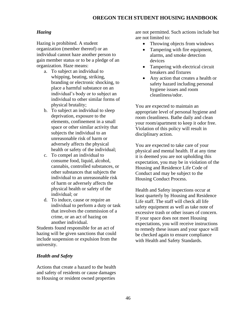### <span id="page-45-0"></span>*Hazing*

Hazing is prohibited. A student organization (member thereof) or an individual cannot haze another person to gain member status or to be a pledge of an organization. Haze means:

- a. To subject an individual to whipping, beating, striking, branding or electronic shocking, to place a harmful substance on an individual's body or to subject an individual to other similar forms of physical brutality;
- b. To subject an individual to sleep deprivation, exposure to the elements, confinement in a small space or other similar activity that subjects the individual to an unreasonable risk of harm or adversely affects the physical health or safety of the individual;
- c. To compel an individual to consume food, liquid, alcohol, cannabis, controlled substances, or other substances that subjects the individual to an unreasonable risk of harm or adversely affects the physical health or safety of the individual; or
- d. To induce, cause or require an individual to perform a duty or task that involves the commission of a crime, or an act of hazing on another individual.

Students found responsible for an act of hazing will be given sanctions that could include suspension or expulsion from the university.

### <span id="page-45-1"></span>*Health and Safety*

Actions that create a hazard to the health and safety of residents or cause damages to Housing or resident owned properties

are not permitted. Such actions include but are not limited to:

- Throwing objects from windows
- Tampering with fire equipment, alarms, and smoke detection devices
- Tampering with electrical circuit breakers and fixtures
- Any action that creates a health or safety hazard including personal hygiene issues and room cleanliness/odor.

You are expected to maintain an appropriate level of personal hygiene and room cleanliness. Bathe daily and clean your room/apartment to keep it odor free. Violation of this policy will result in disciplinary action.

You are expected to take care of your physical and mental health. If at any time it is deemed you are not upholding this expectation, you may be in violation of the Housing and Residence Life Code of Conduct and may be subject to the Housing Conduct Process.

Health and Safety inspections occur at least quarterly by Housing and Residence Life staff. The staff will check all life safety equipment as well as take note of excessive trash or other issues of concern. If your space does not meet Housing expectations, you will receive instructions to remedy these issues and your space will be checked again to ensure compliance with Health and Safety Standards.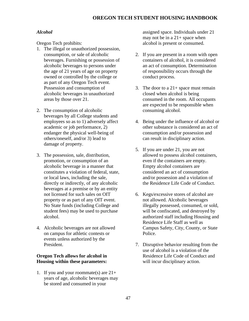# <span id="page-46-0"></span>*Alcohol*

Oregon Tech prohibits:

- 1. The illegal or unauthorized possession, consumption, or sale of alcoholic beverages. Furnishing or possession of alcoholic beverages to persons under the age of 21 years of age on property owned or controlled by the college or as part of any Oregon Tech event. Possession and consumption of alcoholic beverages in unauthorized areas by those over 21.
- 2. The consumption of alcoholic beverages by all College students and employees so as to 1) adversely affect academic or job performance, 2) endanger the physical well-being of others/oneself, and/or 3) lead to damage of property.
- 3. The possession, sale, distribution, promotion, or consumption of an alcoholic beverage in a manner that constitutes a violation of federal, state, or local laws, including the sale, directly or indirectly, of any alcoholic beverages at a premise or by an entity not licensed for such sales on OIT property or as part of any OIT event. No State funds (including College and student fees) may be used to purchase alcohol.
- 4. Alcoholic beverages are not allowed on campus for athletic contests or events unless authorized by the President.

# **Oregon Tech allows for alcohol in Housing within these parameters:**

1. If you and your roommate(s) are  $21+$ years of age, alcoholic beverages may be stored and consumed in your

assigned space. Individuals under 21 may not be in a  $21+$  space when alcohol is present or consumed.

- 2. If you are present in a room with open containers of alcohol, it is considered an act of consumption. Determination of responsibility occurs through the conduct process.
- 3. The door to a  $21+$  space must remain closed when alcohol is being consumed in the room. All occupants are expected to be responsible when consuming alcohol.
- 4. Being under the influence of alcohol or other substance is considered an act of consumption and/or possession and can result in disciplinary action.
- 5. If you are under 21, you are not allowed to possess alcohol containers, even if the containers are empty. Empty alcohol containers are considered an act of consumption and/or possession and a violation of the Residence Life Code of Conduct.
- 6. Kegs/excessive stores of alcohol are not allowed. Alcoholic beverages illegally possessed, consumed, or sold, will be confiscated, and destroyed by authorized staff including Housing and Residence Life Staff as well as Campus Safety, City, County, or State Police.
- 7. Disruptive behavior resulting from the use of alcohol is a violation of the Residence Life Code of Conduct and will incur disciplinary action.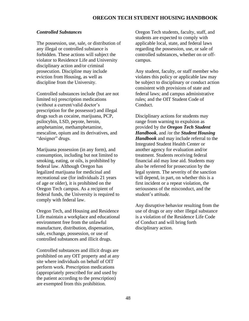### <span id="page-47-0"></span>*Controlled Substances*

The possession, use, sale, or distribution of any illegal or controlled substance is forbidden. These actions will subject the violator to Residence Life and University disciplinary action and/or criminal prosecution. Discipline may include eviction from Housing, as well as discipline from the University.

Controlled substances include (but are not limited to) prescription medications (without a current/valid doctor's prescription for the possessor) and illegal drugs such as cocaine, marijuana, PCP, psilocybin, LSD, peyote, heroin, amphetamine, methamphetamine, mescaline, opium and its derivatives, and "designer" drugs.

Marijuana possession (in any form), and consumption, including but not limited to smoking, eating, or oils, is prohibited by federal law. Although Oregon has legalized marijuana for medicinal and recreational use (for individuals 21 years of age or older), it is prohibited on the Oregon Tech campus. As a recipient of federal funds, the University is required to comply with federal law.

Oregon Tech, and Housing and Residence Life maintain a workplace and educational environment free from the unlawful manufacture, distribution, dispensation, sale, exchange, possession, or use of controlled substances and illicit drugs.

Controlled substances and illicit drugs are prohibited on any OIT property and at any site where individuals on behalf of OIT perform work. Prescription medications (appropriately prescribed for and used by the patient according to the prescription) are exempted from this prohibition.

Oregon Tech students, faculty, staff, and students are expected to comply with applicable local, state, and federal laws regarding the possession, use, or sale of controlled substances, whether on or offcampus.

Any student, faculty, or staff member who violates this policy or applicable law may be subject to disciplinary or conduct action consistent with provisions of state and federal laws; and campus administrative rules; and the OIT Student Code of Conduct.

Disciplinary actions for students may range from warning to expulsion as provided by the *Oregon Tech Student Handbook*, and /or the *Student Housing Handbook* and may include referral to the Integrated Student Health Center or another agency for evaluation and/or treatment. Students receiving federal financial aid may lose aid. Students may also be referred for prosecution by the legal system. The severity of the sanction will depend, in part, on whether this is a first incident or a repeat violation, the seriousness of the misconduct, and the student's attitude.

Any disruptive behavior resulting from the use of drugs or any other illegal substance is a violation of the Residence Life Code of Conduct and will bring forth disciplinary action.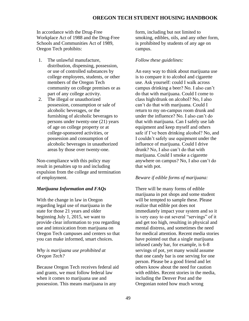In accordance with the Drug-Free Workplace Act of 1988 and the Drug-Free Schools and Communities Act of 1989, Oregon Tech prohibits:

- 1. The unlawful manufacture, distribution, dispensing, possession, or use of controlled substances by college employees, students, or other members of the Oregon Tech community on college premises or as part of any college activity.
- 2. The illegal or unauthorized possession, consumption or sale of alcoholic beverages, or the furnishing of alcoholic beverages to persons under twenty-one (21) years of age on college property or at college-sponsored activities, or possession and consumption of alcoholic beverages in unauthorized areas by those over twenty-one.

Non-compliance with this policy may result in penalties up to and including expulsion from the college and termination of employment.

### <span id="page-48-0"></span>*Marijuana Information and FAQs*

With the change in law in Oregon regarding legal use of marijuana in the state for those 21 years and older beginning July 1, 2015, we want to provide clear information to you regarding use and intoxication from marijuana on Oregon Tech campuses and centers so that you can make informed, smart choices.

### *Why is marijuana use prohibited at Oregon Tech?*

Because Oregon Tech receives federal aid and grants, we must follow federal law when it comes to marijuana use and possession. This means marijuana in any

form, including but not limited to smoking, edibles, oils, and any other form, is prohibited by students of any age on campus.

### *Follow these guidelines:*

An easy way to think about marijuana use is to compare it to alcohol and cigarette use. Ask yourself: could I walk across campus drinking a beer? No. I also can't do that with marijuana. Could I come to class high/drunk on alcohol? No, I also can't do that with marijuana. Could I return to my on-campus room drunk and under the influence? No. I also can't do that with marijuana. Can I safely use lab equipment and keep myself and others safe if I've been drinking alcohol? No, and I couldn't safely use equipment under the influence of marijuana. Could I drive drunk? No, I also can't do that with marijuana. Could I smoke a cigarette anywhere on campus? No, I also can't do that with pot.

#### *Beware if edible forms of marijuana:*

There will be many forms of edible marijuana in pot shops and some student will be tempted to sample these. Please realize that edible pot does not immediately impact your system and so it is very easy to eat several "servings" of it and get too high, resulting in physical and mental distress, and sometimes the need for medical attention. Recent media stories have pointed out that a single marijuana infused candy bar, for example, is 6-8 servings of pot, yet many would assume that one candy bar is one serving for one person. Please be a good friend and let others know about the need for caution with edibles. Recent stories in the media, including the Denver Post and the Oregonian noted how much wrong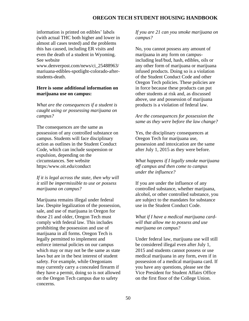information is printed on edibles' labels (with actual THC both higher and lower in almost all cases tested) and the problems this has caused, including ER visits and even the death of a student in Wyoming. See website

www.denverpost.com/news/ci\_25488963/ mariuana-edibles-spotlight-colorado-afterstudents-death.

### **Here is some additional information on marijuana use on campus:**

*What are the consequences if a student is caught using or possessing marijuana on campus?*

The consequences are the same as possession of any controlled substance on campus. Students will face disciplinary action as outlines in the Student Conduct Code, which can include suspension or expulsion, depending on the circumstances. See website https:/www.oit.edu/conduct

*If it is legal across the state, then why will it still be impermissible to use or possess marijuana on campus?*

Marijuana remains illegal under federal law. Despite legalization of the possession, sale, and use of marijuana in Oregon for those 21 and older, Oregon Tech must comply with federal law. This includes prohibiting the possession and use of marijuana in all forms. Oregon Tech is legally permitted to implement and enforce internal policies on our campus which may or may not be the same as state laws but are in the best interest of student safety. For example, while Oregonians may currently carry a concealed firearm if they have a permit, doing so is not allowed on the Oregon Tech campus due to safety concerns.

### *If you are 21 can you smoke marijuana on campus?*

No, you cannot possess any amount of marijuana in any form on campusincluding leaf/bud, hash, edibles, oils or any other form of marijuana or marijuana infused products. Doing so is a violation of the Student Conduct Code and other Oregon Tech policies. These policies are in force because these products can put other students at risk and, as discussed above, use and possession of marijuana products is a violation of federal law.

### *Are the consequences for possession the same as they were before the law change?*

Yes, the disciplinary consequences at Oregon Tech for marijuana use, possession and intoxication are the same after July 1, 2015 as they were before.

### *What happens if I legally smoke marijuana off campus and then come to campus under the influence?*

If you are under the influence of any controlled substance, whether marijuana, alcohol, or other controlled substance, you are subject to the mandates for substance use in the Student Conduct Code.

*What if I have a medical marijuana cardwill that allow me to possess and use marijuana on campus?*

Under federal law, marijuana use will still be considered illegal even after July 1, 2015 and students cannot possess or use medical marijuana in any form, even if in possession of a medical marijuana card. If you have any questions, please see the Vice President for Student Affairs Office on the first floor of the College Union.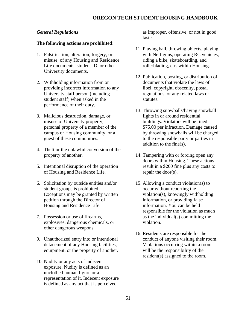### <span id="page-50-0"></span>*General Regulations*

### **The following actions are prohibited**:

- 1. Falsification, alteration, forgery, or misuse, of any Housing and Residence Life documents, student ID, or other University documents.
- 2. Withholding information from or providing incorrect information to any University staff person (including student staff) when asked in the performance of their duty.
- 3. Malicious destruction, damage, or misuse of University property, personal property of a member of the campus or Housing community, or a guest of these communities.
- 4. Theft or the unlawful conversion of the property of another.
- 5. Intentional disruption of the operation of Housing and Residence Life.
- 6. Solicitation by outside entities and/or student groups is prohibited. Exceptions may be granted by written petition through the Director of Housing and Residence Life.
- 7. Possession or use of firearms, explosives, dangerous chemicals, or other dangerous weapons.
- 9. Unauthorized entry into or intentional defacement of any Housing facilities, equipment, or the property of another.
- 10. Nudity or any acts of indecent exposure. Nudity is defined as an unclothed human figure or a representation of it. Indecent exposure is defined as any act that is perceived

as improper, offensive, or not in good taste.

- 11. Playing ball, throwing objects, playing with Nerf guns, operating RC vehicles, riding a bike, skateboarding, and rollerblading, etc. within Housing.
- 12. Publication, posting, or distribution of documents that violate the laws of libel, copyright, obscenity, postal regulations, or any related laws or statutes.
- 13. Throwing snowballs/having snowball fights in or around residential buildings. Violators will be fined \$75.00 per infraction. Damage caused by throwing snowballs will be charged to the responsible party or parties in addition to the fine(s).
- 14. Tampering with or forcing open any doors within Housing. These actions result in a \$200 fine plus any costs to repair the door(s).
- 15. Allowing a conduct violation(s) to occur without reporting the violation(s), knowingly withholding information, or providing false information. You can be held responsible for the violation as much as the individual(s) committing the violation.
- 16. Residents are responsible for the conduct of anyone visiting their room. Violations occurring within a room will be the responsibility of the resident(s) assigned to the room.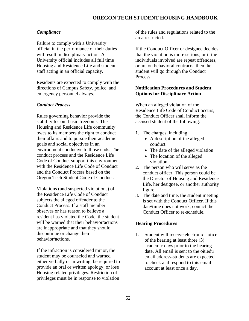### <span id="page-51-0"></span>*Compliance*

Failure to comply with a University official in the performance of their duties will result in disciplinary action. A University official includes all full time Housing and Residence Life and student staff acting in an official capacity.

Residents are expected to comply with the directions of Campus Safety, police, and emergency personnel always.

### <span id="page-51-1"></span>*Conduct Process*

Rules governing behavior provide the stability for our basic freedoms. The Housing and Residence Life community owes to its members the right to conduct their affairs and to pursue their academic goals and social objectives in an environment conducive to those ends. The conduct process and the Residence Life Code of Conduct support this environment with the Residence Life Code of Conduct and the Conduct Process based on the Oregon Tech Student Code of Conduct.

Violations (and suspected violations) of the Residence Life Code of Conduct subjects the alleged offender to the Conduct Process. If a staff member observes or has reason to believe a resident has violated the Code, the student will be warned that their behavior/actions are inappropriate and that they should discontinue or change their behavior/actions.

If the infraction is considered minor, the student may be counseled and warned either verbally or in writing, be required to provide an oral or written apology, or lose Housing related privileges. Restriction of privileges must be in response to violation

of the rules and regulations related to the area restricted.

If the Conduct Officer or designee decides that the violation is more serious, or if the individuals involved are repeat offenders, or are on behavioral contracts, then the student will go through the Conduct Process.

### <span id="page-51-2"></span>**Notification Procedures and Student Options for Disciplinary Action**

When an alleged violation of the Residence Life Code of Conduct occurs, the Conduct Officer shall inform the accused student of the following:

- 1. The charges, including:
	- A description of the alleged conduct
	- The date of the alleged violation
	- The location of the alleged violation
- 2. The person who will serve as the conduct officer. This person could be the Director of Housing and Residence Life, her designee, or another authority figure.
- 3. The date and time, the student meeting is set with the Conduct Officer. If this date/time does not work, contact the Conduct Officer to re-schedule.

### <span id="page-51-3"></span>**Hearing Procedures**

1. Student will receive electronic notice of the hearing at least three (3) academic days prior to the hearing date. All email is sent to the oit.edu email address-students are expected to check and respond to this email account at least once a day.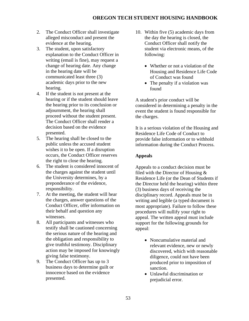- 2. The Conduct Officer shall investigate alleged misconduct and present the evidence at the hearing.
- 3. The student, upon satisfactory explanation to the Conduct Officer in writing (email is fine), may request a change of hearing date. Any change in the hearing date will be communicated least three (3) academic days prior to the new hearing.
- 4. If the student is not present at the hearing or if the student should leave the hearing prior to its conclusion or adjournment, the hearing shall proceed without the student present. The Conduct Officer shall render a decision based on the evidence presented.
- 5. The hearing shall be closed to the public unless the accused student wishes it to be open. If a disruption occurs, the Conduct Officer reserves the right to close the hearing.
- 6. The student is considered innocent of the charges against the student until the University determines, by a preponderance of the evidence, responsibility.
- 7. At the meeting, the student will hear the charges, answer questions of the Conduct Officer, offer information on their behalf and question any witnesses.
- 8. All participants and witnesses who testify shall be cautioned concerning the serious nature of the hearing and the obligation and responsibility to give truthful testimony. Disciplinary action may be imposed for knowingly giving false testimony.
- 9. The Conduct Officer has up to 3 business days to determine guilt or innocence based on the evidence presented.
- 10. Within five (5) academic days from the day the hearing is closed, the Conduct Officer shall notify the student via electronic means, of the following:
	- Whether or not a violation of the Housing and Residence Life Code of Conduct was found
	- The penalty if a violation was found

A student's prior conduct will be considered in determining a penalty in the event the student is found responsible for the charges.

It is a serious violation of the Housing and Residence Life Code of Conduct to provide false information or to withhold information during the Conduct Process.

# <span id="page-52-0"></span>**Appeals**

Appeals to a conduct decision must be filed with the Director of Housing & Residence Life (or the Dean of Students if the Director held the hearing) within three (3) business days of receiving the disciplinary record. Appeals must be in writing and legible (a typed document is most appropriate). Failure to follow these procedures will nullify your right to appeal. The written appeal must include support for the following grounds for appeal:

- Noncumulative material and relevant evidence, new or newly discovered, which with reasonable diligence, could not have been produced prior to imposition of sanction.
- Unlawful discrimination or prejudicial error.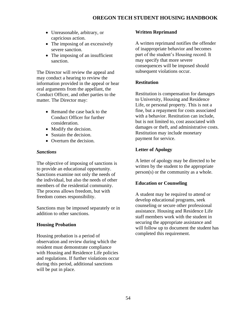- Unreasonable, arbitrary, or capricious action.
- The imposing of an excessively severe sanction.
- The imposing of an insufficient sanction.

The Director will review the appeal and may conduct a hearing to review the information provided in the appeal or hear oral arguments from the appellant, the Conduct Officer, and other parties to the matter. The Director may:

- Remand the case back to the Conduct Officer for further consideration.
- Modify the decision.
- Sustain the decision.
- Overturn the decision.

# <span id="page-53-0"></span>*Sanctions*

The objective of imposing of sanctions is to provide an educational opportunity. Sanctions examine not only the needs of the individual, but also the needs of other members of the residential community. The process allows freedom, but with freedom comes responsibility.

Sanctions may be imposed separately or in addition to other sanctions.

# <span id="page-53-1"></span>**Housing Probation**

Housing probation is a period of observation and review during which the resident must demonstrate compliance with Housing and Residence Life policies and regulations. If further violations occur during this period, additional sanctions will be put in place.

# <span id="page-53-2"></span>**Written Reprimand**

A written reprimand notifies the offender of inappropriate behavior and becomes part of the student's Housing record. It may specify that more severe consequences will be imposed should subsequent violations occur.

# <span id="page-53-3"></span>**Restitution**

Restitution is compensation for damages to University, Housing and Residence Life, or personal property. This is not a fine, but a repayment for costs associated with a behavior. Restitution can include, but is not limited to, cost associated with damages or theft, and administrative costs. Restitution may include monetary payment for service.

# <span id="page-53-4"></span>**Letter of Apology**

A letter of apology may be directed to be written by the student to the appropriate person(s) or the community as a whole.

# <span id="page-53-5"></span>**Education or Counseling**

A student may be required to attend or develop educational programs, seek counseling or secure other professional assistance. Housing and Residence Life staff members work with the student in securing the appropriate assistance and will follow up to document the student has completed this requirement.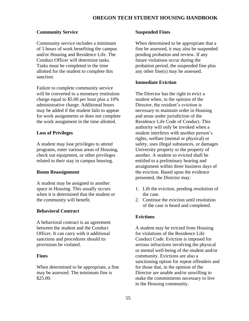# <span id="page-54-0"></span>**Community Service**

Community service includes a minimum of 5 hours of work benefiting the campus and/or Housing and Residence Life. The Conduct Officer will determine tasks. Tasks must be completed in the time allotted for the student to complete this sanction.

Failure to complete community service will be converted to a monetary restitution charge equal to \$5.00 per hour plus a 10% administrative charge. Additional hours may be added if the student fails to appear for work assignments or does not complete the work assignment in the time allotted.

# <span id="page-54-1"></span>**Loss of Privileges**

A student may lose privileges to attend programs, enter various areas of Housing, check out equipment, or other privileges related to their stay in campus housing.

# <span id="page-54-2"></span>**Room Reassignment**

A student may be assigned to another space in Housing. This usually occurs when it is determined that the student or the community will benefit.

# <span id="page-54-3"></span>**Behavioral Contract**

A behavioral contract is an agreement between the student and the Conduct Officer. It can carry with it additional sanctions and procedures should its provisions be violated.

### <span id="page-54-4"></span>**Fines**

When determined to be appropriate, a fine may be assessed. The minimum fine is \$25.00.

### <span id="page-54-5"></span>**Suspended Fines**

When determined to be appropriate that a fine be assessed, it may also be suspended pending probation and review. If any future violations occur during the probation period, the suspended fine plus any other fine(s) may be assessed.

# <span id="page-54-6"></span>**Immediate Eviction**

The Director has the right to evict a student when, in the opinion of the Director, the resident's eviction is necessary to maintain order in Housing and areas under jurisdiction of the Residence Life Code of Conduct. This authority will only be invoked when a student interferes with another person's rights, welfare (mental or physical) or safety, uses illegal substances, or damages University property or the property of another. A student so evicted shall be entitled to a preliminary hearing and arraignment within three business days of the eviction. Based upon the evidence presented, the Director may:

- 1. Lift the eviction, pending resolution of the case.
- 2. Continue the eviction until resolution of the case is heard and completed.

# <span id="page-54-7"></span>**Evictions**

A student may be evicted from Housing for violations of the Residence Life Conduct Code. Eviction is imposed for serious infractions involving the physical or mental well-being of the student and/or community. Evictions are also a sanctioning option for repeat offenders and for those that, in the opinion of the Director are unable and/or unwilling to make the commitments necessary to live in the Housing community.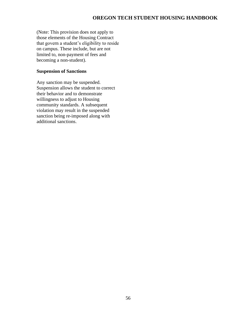(Note: This provision does not apply to those elements of the Housing Contract that govern a student's eligibility to reside on campus. These include, but are not limited to, non-payment of fees and becoming a non-student).

### <span id="page-55-0"></span>**Suspension of Sanctions**

Any sanction may be suspended. Suspension allows the student to correct their behavior and to demonstrate willingness to adjust to Housing community standards. A subsequent violation may result in the suspended sanction being re-imposed along with additional sanctions.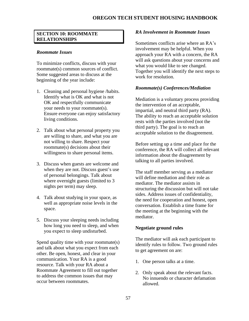### <span id="page-56-0"></span>**SECTION 10: ROOMMATE RELATIONSHIPS**

### <span id="page-56-1"></span>*Roommate Issues*

To minimize conflicts, discuss with your roommate(s) common sources of conflict. Some suggested areas to discuss at the beginning of the year include:

- 1. Cleaning and personal hygiene /habits. Identify what is OK and what is not OK and respectfully communicate your needs to your roommate(s). Ensure everyone can enjoy satisfactory living conditions.
- 2. Talk about what personal property you are willing to share, and what you are not willing to share. Respect your roommate(s) decisions about their willingness to share personal items.
- 3. Discuss when guests are welcome and when they are not. Discuss guest's use of personal belongings. Talk about where overnight guests (limited to 3) nights per term) may sleep.
- 4. Talk about studying in your space, as well as appropriate noise levels in the space.
- 5. Discuss your sleeping needs including how long you need to sleep, and when you expect to sleep undisturbed.

Spend quality time with your roommate(s) and talk about what you expect from each other. Be open, honest, and clear in your communication. Your RA is a good resource. Talk with your RA about a Roommate Agreement to fill out together to address the common issues that may occur between roommates.

### <span id="page-56-2"></span>*RA Involvement in Roommate Issues*

Sometimes conflicts arise where an RA's involvement may be helpful. When you approach your RA with a concern, the RA will ask questions about your concerns and what you would like to see changed. Together you will identify the next steps to work for resolution.

### <span id="page-56-3"></span>*Roommate(s) Conferences/Mediation*

Mediation is a voluntary process providing the intervention of an acceptable, impartial, and neutral third party (RA). The ability to reach an acceptable solution rests with the parties involved (not the third party). The goal is to reach an acceptable solution to the disagreement.

Before setting up a time and place for the conference, the RA will collect all relevant information about the disagreement by talking to all parties involved.

The staff member serving as a mediator will define mediation and their role as mediator. The mediator assists in structuring the discussion but will not take sides. Address issues of confidentiality, the need for cooperation and honest, open conversation. Establish a time frame for the meeting at the beginning with the mediator.

### <span id="page-56-4"></span>**Negotiate ground rules**

The mediator will ask each participant to identify rules to follow. Two ground rules to get agreement on are:

- 1. One person talks at a time.
- 2. Only speak about the relevant facts. No innuendo or character defamation allowed.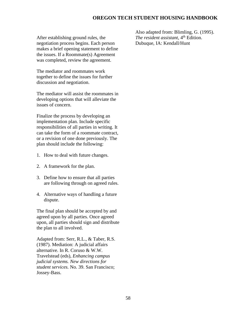After establishing ground rules, the negotiation process begins. Each person makes a brief opening statement to define the issues. If a Roommate(s) Agreement was completed, review the agreement.

The mediator and roommates work together to define the issues for further discussion and negotiation.

The mediator will assist the roommates in developing options that will alleviate the issues of concern.

Finalize the process by developing an implementation plan. Include specific responsibilities of all parties in writing. It can take the form of a roommate contract, or a revision of one done previously. The plan should include the following:

- 1. How to deal with future changes.
- 2. A framework for the plan.
- 3. Define how to ensure that all parties are following through on agreed rules.
- 4. Alternative ways of handling a future dispute.

The final plan should be accepted by and agreed upon by all parties. Once agreed upon, all parties should sign and distribute the plan to all involved.

Adapted from: Serr, R.L., & Taber, R.S. (1987). Mediation: A judicial affairs alternative. In R. Coruso & W.W. Travelstead (eds), *Enhancing campus judicial systems. New directions for student services.* No. 39. San Francisco; Jossey-Bass.

Also adapted from: Blimling, G. (1995). *The resident assistant*, 4<sup>th</sup> Edition. Dubuque, IA: Kendall/Hunt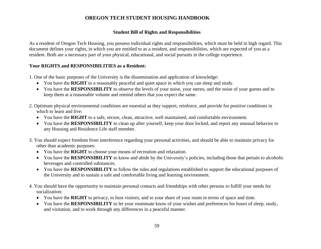### **Student Bill of Rights and Responsibilities**

As a resident of Oregon Tech Housing, you possess individual rights and responsibilities, which must be held in high regard. This document defines your rights, in which you are entitled to as a resident, and responsibilities, which are expected of you as a resident. Both are a necessary part of your physical, educational, and social pursuits in the college experience.

# **Your RIGHTS and RESPONSIBILITIES as a Resident:**

1. One of the basic purposes of the University is the dissemination and application of knowledge:

- You have the **RIGHT** to a reasonably peaceful and quiet space in which you can sleep and study.
- You have the **RESPONSIBILITY** to observe the levels of your noise, your stereo, and the noise of your guests and to keep them at a reasonable volume and remind others that you expect the same.
- <span id="page-58-0"></span>2. Optimum physical environmental conditions are essential as they support, reinforce, and provide for positive conditions in which to learn and live:
	- You have the **RIGHT** to a safe, secure, clean, attractive, well maintained, and comfortable environment.
	- You have the **RESPONSIBILITY** to clean up after yourself, keep your door locked, and report any unusual behavior to any Housing and Residence Life staff member.
- 3. You should expect freedom from interference regarding your personal activities, and should be able to maintain privacy for other than academic purposes:
	- You have the **RIGHT** to choose your means of recreation and relaxation.
	- You have the **RESPONSIBILITY** to know and abide by the University's policies, including those that pertain to alcoholic beverages and controlled substances.
	- You have the **RESPONSIBILITY** to follow the rules and regulations established to support the educational purposes of the University and to sustain a safe and comfortable living and learning environment.
- 4. You should have the opportunity to maintain personal contacts and friendships with other persons to fulfill your needs for socialization:
	- You have the **RIGHT** to privacy, to host visitors, and to your share of your room in terms of space and time.
	- You have the **RESPONSIBILITY** to let your roommate know of your wishes and preferences for hours of sleep, study, and visitation, and to work through any differences in a peaceful manner.